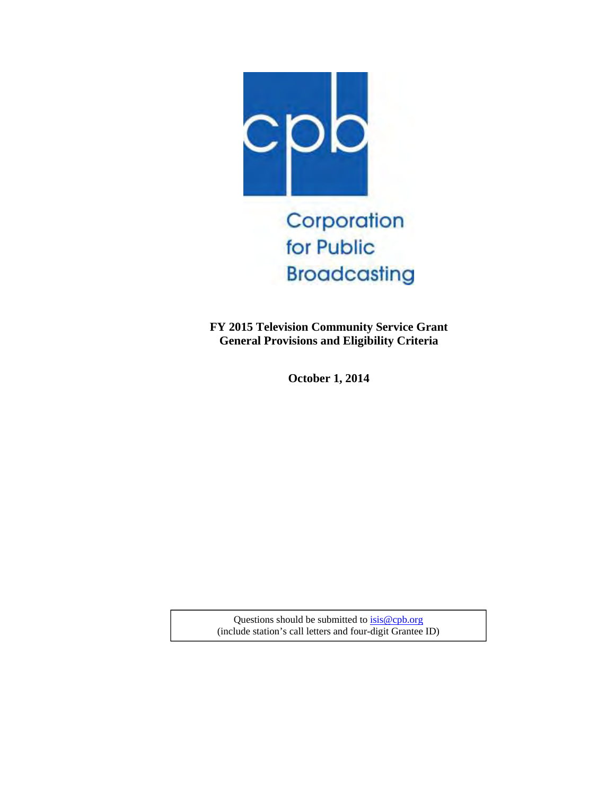

**FY 2015 Television Community Service Grant General Provisions and Eligibility Criteria**

**October 1, 2014** 

Questions should be submitted to  $isis@cpb.org$ (include station's call letters and four-digit Grantee ID)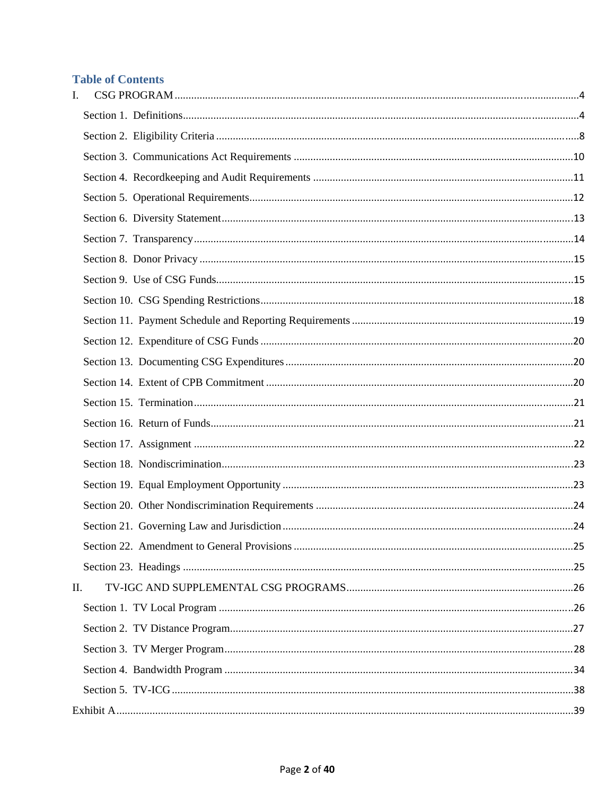# **Table of Contents**

| I. |  |
|----|--|
|    |  |
|    |  |
|    |  |
|    |  |
|    |  |
|    |  |
|    |  |
|    |  |
|    |  |
|    |  |
|    |  |
|    |  |
|    |  |
|    |  |
|    |  |
|    |  |
|    |  |
|    |  |
|    |  |
|    |  |
|    |  |
|    |  |
|    |  |
| П. |  |
|    |  |
|    |  |
|    |  |
|    |  |
|    |  |
|    |  |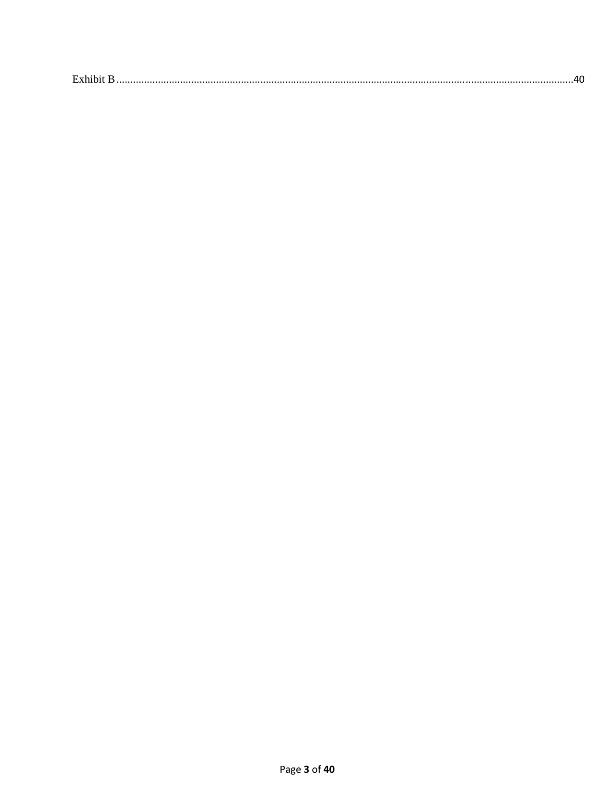| $\mathbf{r}$ 1 1 $\mathbf{r}$<br><b>EXPLOIT</b> |
|-------------------------------------------------|
|-------------------------------------------------|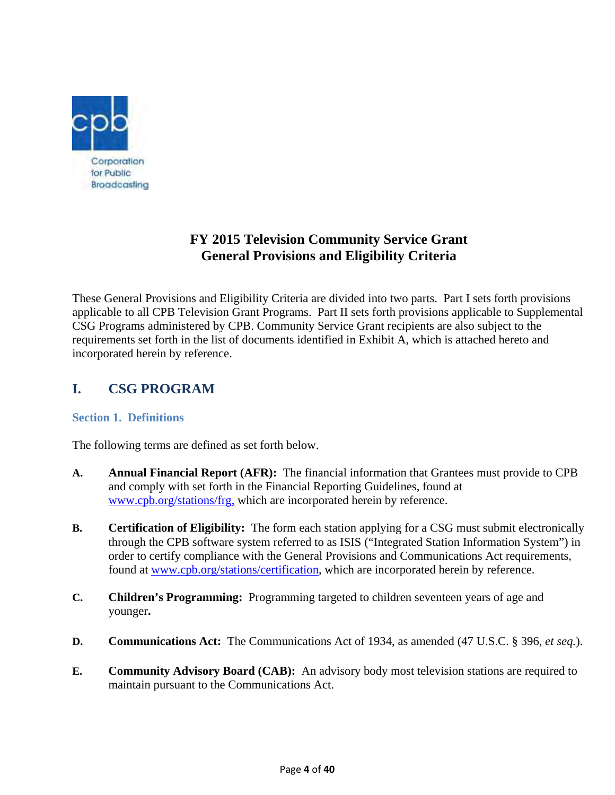

# **FY 2015 Television Community Service Grant General Provisions and Eligibility Criteria**

These General Provisions and Eligibility Criteria are divided into two parts. Part I sets forth provisions applicable to all CPB Television Grant Programs. Part II sets forth provisions applicable to Supplemental CSG Programs administered by CPB. Community Service Grant recipients are also subject to the requirements set forth in the list of documents identified in Exhibit A, which is attached hereto and incorporated herein by reference.

# **I. CSG PROGRAM**

### **Section 1. Definitions**

The following terms are defined as set forth below.

- **A. Annual Financial Report (AFR):** The financial information that Grantees must provide to CPB and comply with set forth in the Financial Reporting Guidelines, found at www.cpb.org/stations/frg, which are incorporated herein by reference.
- **B. Certification of Eligibility:** The form each station applying for a CSG must submit electronically through the CPB software system referred to as ISIS ("Integrated Station Information System") in order to certify compliance with the General Provisions and Communications Act requirements, found at www.cpb.org/stations/certification, which are incorporated herein by reference.
- **C. Children's Programming:** Programming targeted to children seventeen years of age and younger**.**
- **D. Communications Act:** The Communications Act of 1934, as amended (47 U.S.C. § 396, *et seq.*).
- **E. Community Advisory Board (CAB):** An advisory body most television stations are required to maintain pursuant to the Communications Act.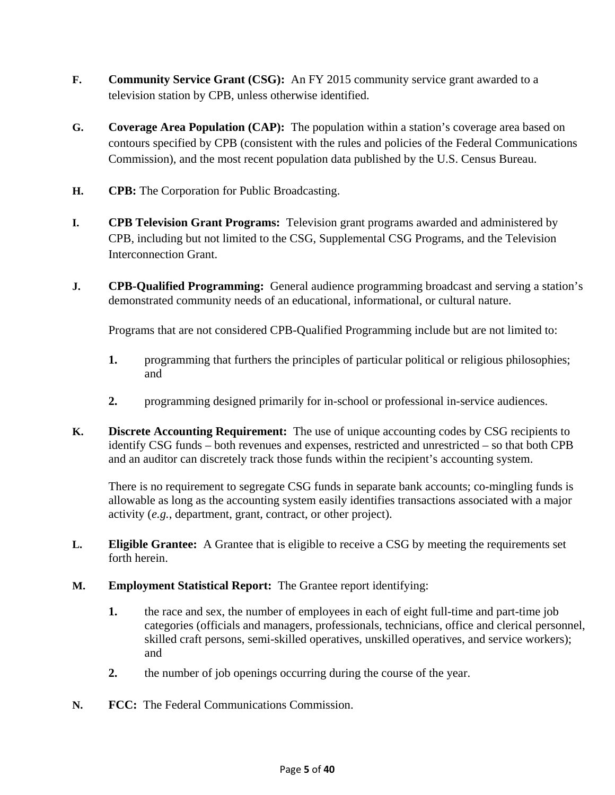- **F. Community Service Grant (CSG):** An FY 2015 community service grant awarded to a television station by CPB, unless otherwise identified.
- **G. Coverage Area Population (CAP):** The population within a station's coverage area based on contours specified by CPB (consistent with the rules and policies of the Federal Communications Commission), and the most recent population data published by the U.S. Census Bureau.
- **H. CPB:** The Corporation for Public Broadcasting.
- **I. CPB Television Grant Programs:** Television grant programs awarded and administered by CPB, including but not limited to the CSG, Supplemental CSG Programs, and the Television Interconnection Grant.
- **J. CPB-Qualified Programming:** General audience programming broadcast and serving a station's demonstrated community needs of an educational, informational, or cultural nature.

Programs that are not considered CPB-Qualified Programming include but are not limited to:

- **1.** programming that furthers the principles of particular political or religious philosophies; and
- **2.** programming designed primarily for in-school or professional in-service audiences.
- **K. Discrete Accounting Requirement:** The use of unique accounting codes by CSG recipients to identify CSG funds – both revenues and expenses, restricted and unrestricted – so that both CPB and an auditor can discretely track those funds within the recipient's accounting system.

 There is no requirement to segregate CSG funds in separate bank accounts; co-mingling funds is allowable as long as the accounting system easily identifies transactions associated with a major activity (*e.g.*, department, grant, contract, or other project).

- **L. Eligible Grantee:** A Grantee that is eligible to receive a CSG by meeting the requirements set forth herein.
- **M. Employment Statistical Report:** The Grantee report identifying:
	- **1.** the race and sex, the number of employees in each of eight full-time and part-time job categories (officials and managers, professionals, technicians, office and clerical personnel, skilled craft persons, semi-skilled operatives, unskilled operatives, and service workers); and
	- **2.** the number of job openings occurring during the course of the year.
- **N. FCC:** The Federal Communications Commission.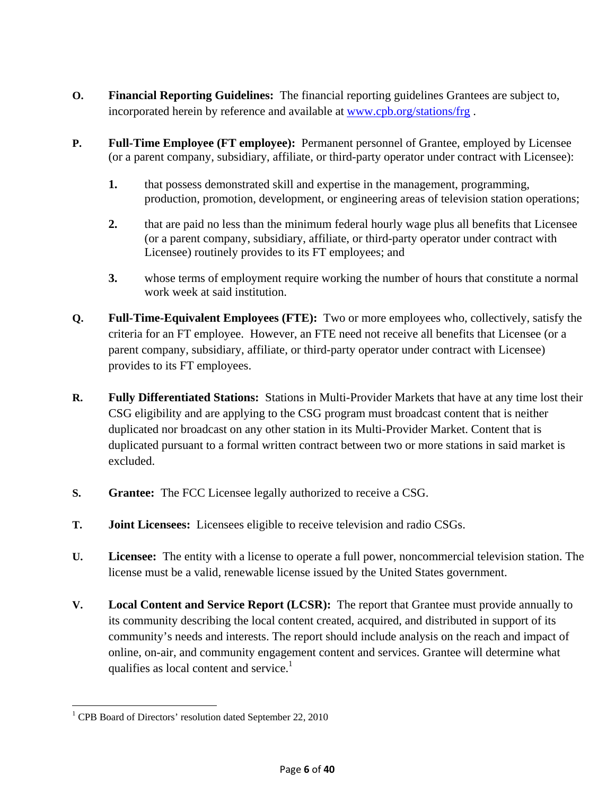- **O. Financial Reporting Guidelines:** The financial reporting guidelines Grantees are subject to, incorporated herein by reference and available at www.cpb.org/stations/frg .
- **P. Full-Time Employee (FT employee):** Permanent personnel of Grantee, employed by Licensee (or a parent company, subsidiary, affiliate, or third-party operator under contract with Licensee):
	- **1.** that possess demonstrated skill and expertise in the management, programming, production, promotion, development, or engineering areas of television station operations;
	- **2.** that are paid no less than the minimum federal hourly wage plus all benefits that Licensee (or a parent company, subsidiary, affiliate, or third-party operator under contract with Licensee) routinely provides to its FT employees; and
	- **3.** whose terms of employment require working the number of hours that constitute a normal work week at said institution.
- **Q. Full-Time-Equivalent Employees (FTE):** Two or more employees who, collectively, satisfy the criteria for an FT employee. However, an FTE need not receive all benefits that Licensee (or a parent company, subsidiary, affiliate, or third-party operator under contract with Licensee) provides to its FT employees.
- **R. Fully Differentiated Stations:** Stations in Multi-Provider Markets that have at any time lost their CSG eligibility and are applying to the CSG program must broadcast content that is neither duplicated nor broadcast on any other station in its Multi-Provider Market. Content that is duplicated pursuant to a formal written contract between two or more stations in said market is excluded.
- **S. Grantee:** The FCC Licensee legally authorized to receive a CSG.
- **T. Joint Licensees:** Licensees eligible to receive television and radio CSGs.
- **U. Licensee:** The entity with a license to operate a full power, noncommercial television station. The license must be a valid, renewable license issued by the United States government.
- **V. Local Content and Service Report (LCSR):** The report that Grantee must provide annually to its community describing the local content created, acquired, and distributed in support of its community's needs and interests. The report should include analysis on the reach and impact of online, on-air, and community engagement content and services. Grantee will determine what qualifies as local content and service. $<sup>1</sup>$ </sup>

 $\overline{\phantom{a}}$ <sup>1</sup> CPB Board of Directors' resolution dated September 22, 2010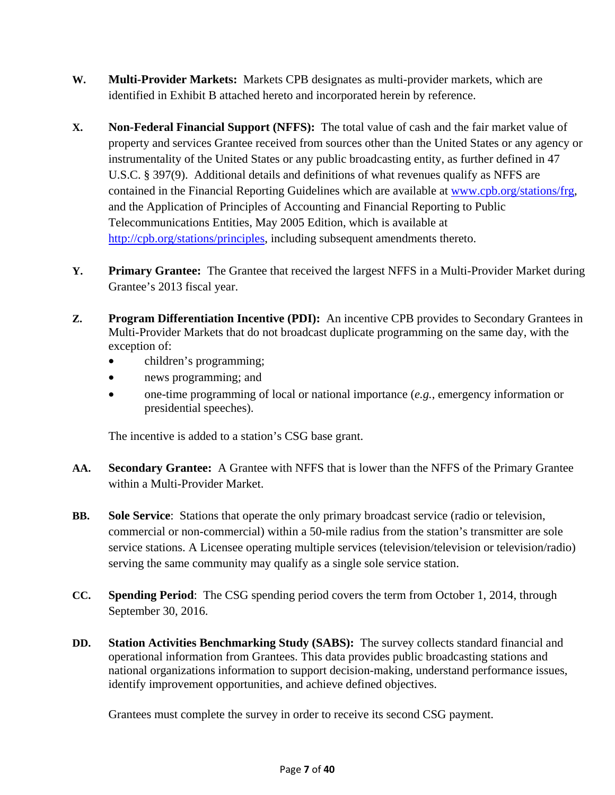- **W. Multi-Provider Markets:** Markets CPB designates as multi-provider markets, which are identified in Exhibit B attached hereto and incorporated herein by reference.
- **X. Non-Federal Financial Support (NFFS):** The total value of cash and the fair market value of property and services Grantee received from sources other than the United States or any agency or instrumentality of the United States or any public broadcasting entity, as further defined in 47 U.S.C. § 397(9). Additional details and definitions of what revenues qualify as NFFS are contained in the Financial Reporting Guidelines which are available at www.cpb.org/stations/frg, and the Application of Principles of Accounting and Financial Reporting to Public Telecommunications Entities, May 2005 Edition, which is available at http://cpb.org/stations/principles, including subsequent amendments thereto.
- **Y. Primary Grantee:** The Grantee that received the largest NFFS in a Multi-Provider Market during Grantee's 2013 fiscal year.
- **Z. Program Differentiation Incentive (PDI):** An incentive CPB provides to Secondary Grantees in Multi-Provider Markets that do not broadcast duplicate programming on the same day, with the exception of:
	- children's programming;
	- news programming; and
	- one-time programming of local or national importance (*e.g.*, emergency information or presidential speeches).

The incentive is added to a station's CSG base grant.

- **AA. Secondary Grantee:** A Grantee with NFFS that is lower than the NFFS of the Primary Grantee within a Multi-Provider Market.
- **BB. Sole Service**: Stations that operate the only primary broadcast service (radio or television, commercial or non-commercial) within a 50-mile radius from the station's transmitter are sole service stations. A Licensee operating multiple services (television/television or television/radio) serving the same community may qualify as a single sole service station.
- **CC. Spending Period**: The CSG spending period covers the term from October 1, 2014, through September 30, 2016.
- **DD. Station Activities Benchmarking Study (SABS):** The survey collects standard financial and operational information from Grantees. This data provides public broadcasting stations and national organizations information to support decision-making, understand performance issues, identify improvement opportunities, and achieve defined objectives.

Grantees must complete the survey in order to receive its second CSG payment.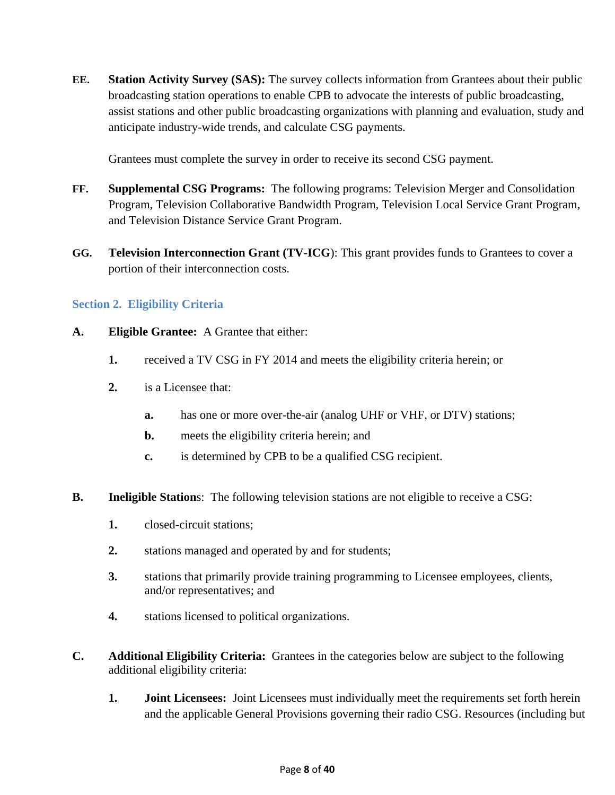**EE. Station Activity Survey (SAS):** The survey collects information from Grantees about their public broadcasting station operations to enable CPB to advocate the interests of public broadcasting, assist stations and other public broadcasting organizations with planning and evaluation, study and anticipate industry-wide trends, and calculate CSG payments.

Grantees must complete the survey in order to receive its second CSG payment.

- **FF. Supplemental CSG Programs:** The following programs: Television Merger and Consolidation Program, Television Collaborative Bandwidth Program, Television Local Service Grant Program, and Television Distance Service Grant Program.
- **GG. Television Interconnection Grant (TV-ICG**): This grant provides funds to Grantees to cover a portion of their interconnection costs.

### **Section 2. Eligibility Criteria**

- **A. Eligible Grantee:** A Grantee that either:
	- **1.** received a TV CSG in FY 2014 and meets the eligibility criteria herein; or
	- **2.** is a Licensee that:
		- **a.** has one or more over-the-air (analog UHF or VHF, or DTV) stations;
		- **b.** meets the eligibility criteria herein; and
		- **c.** is determined by CPB to be a qualified CSG recipient.
- **B.** Ineligible Stations: The following television stations are not eligible to receive a CSG:
	- **1.** closed-circuit stations;
	- **2.** stations managed and operated by and for students;
	- **3.** stations that primarily provide training programming to Licensee employees, clients, and/or representatives; and
	- **4.** stations licensed to political organizations.
- **C. Additional Eligibility Criteria:** Grantees in the categories below are subject to the following additional eligibility criteria:
	- **1. Joint Licensees:** Joint Licensees must individually meet the requirements set forth herein and the applicable General Provisions governing their radio CSG. Resources (including but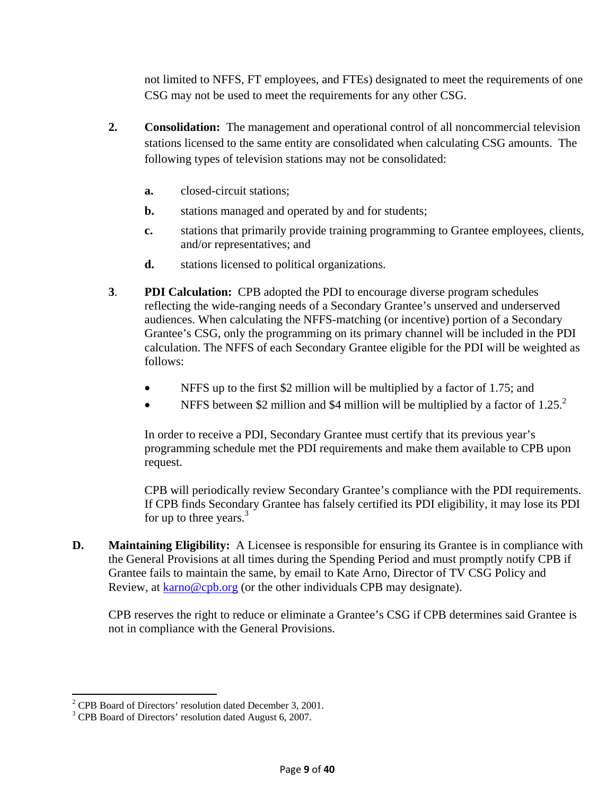not limited to NFFS, FT employees, and FTEs) designated to meet the requirements of one CSG may not be used to meet the requirements for any other CSG.

- **2. Consolidation:** The management and operational control of all noncommercial television stations licensed to the same entity are consolidated when calculating CSG amounts. The following types of television stations may not be consolidated:
	- **a.** closed-circuit stations;
	- **b.** stations managed and operated by and for students;
	- **c.** stations that primarily provide training programming to Grantee employees, clients, and/or representatives; and
	- **d.** stations licensed to political organizations.
- **3**. **PDI Calculation:** CPB adopted the PDI to encourage diverse program schedules reflecting the wide-ranging needs of a Secondary Grantee's unserved and underserved audiences. When calculating the NFFS-matching (or incentive) portion of a Secondary Grantee's CSG, only the programming on its primary channel will be included in the PDI calculation. The NFFS of each Secondary Grantee eligible for the PDI will be weighted as follows:
	- NFFS up to the first \$2 million will be multiplied by a factor of 1.75; and
	- NFFS between \$2 million and \$4 million will be multiplied by a factor of  $1.25<sup>2</sup>$ .

In order to receive a PDI, Secondary Grantee must certify that its previous year's programming schedule met the PDI requirements and make them available to CPB upon request.

CPB will periodically review Secondary Grantee's compliance with the PDI requirements. If CPB finds Secondary Grantee has falsely certified its PDI eligibility, it may lose its PDI for up to three years. $3$ 

**D. Maintaining Eligibility:** A Licensee is responsible for ensuring its Grantee is in compliance with the General Provisions at all times during the Spending Period and must promptly notify CPB if Grantee fails to maintain the same, by email to Kate Arno, Director of TV CSG Policy and Review, at karno@cpb.org (or the other individuals CPB may designate).

CPB reserves the right to reduce or eliminate a Grantee's CSG if CPB determines said Grantee is not in compliance with the General Provisions.

<sup>&</sup>lt;sup>2</sup> CPB Board of Directors' resolution dated December 3, 2001.

<sup>&</sup>lt;sup>3</sup> CPB Board of Directors' resolution dated August 6, 2007.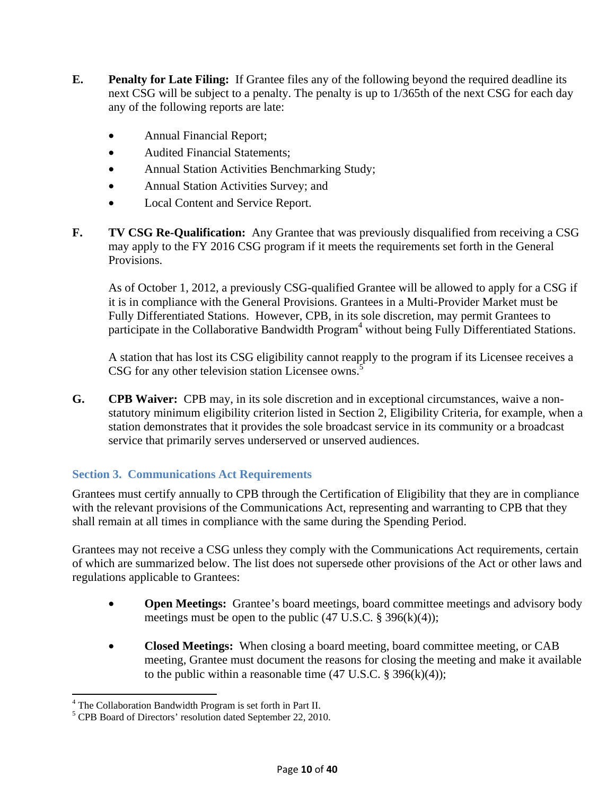- **E.** Penalty for Late Filing: If Grantee files any of the following beyond the required deadline its next CSG will be subject to a penalty. The penalty is up to 1/365th of the next CSG for each day any of the following reports are late:
	- Annual Financial Report;
	- Audited Financial Statements;
	- Annual Station Activities Benchmarking Study;
	- Annual Station Activities Survey; and
	- Local Content and Service Report.
- **F.** TV CSG Re-Qualification: Any Grantee that was previously disqualified from receiving a CSG may apply to the FY 2016 CSG program if it meets the requirements set forth in the General Provisions.

As of October 1, 2012, a previously CSG-qualified Grantee will be allowed to apply for a CSG if it is in compliance with the General Provisions. Grantees in a Multi-Provider Market must be Fully Differentiated Stations. However, CPB, in its sole discretion, may permit Grantees to participate in the Collaborative Bandwidth Program<sup>4</sup> without being Fully Differentiated Stations.

A station that has lost its CSG eligibility cannot reapply to the program if its Licensee receives a CSG for any other television station Licensee owns.<sup>5</sup>

**G. CPB Waiver:** CPB may, in its sole discretion and in exceptional circumstances, waive a nonstatutory minimum eligibility criterion listed in Section 2, Eligibility Criteria, for example, when a station demonstrates that it provides the sole broadcast service in its community or a broadcast service that primarily serves underserved or unserved audiences.

### **Section 3. Communications Act Requirements**

Grantees must certify annually to CPB through the Certification of Eligibility that they are in compliance with the relevant provisions of the Communications Act, representing and warranting to CPB that they shall remain at all times in compliance with the same during the Spending Period.

Grantees may not receive a CSG unless they comply with the Communications Act requirements, certain of which are summarized below. The list does not supersede other provisions of the Act or other laws and regulations applicable to Grantees:

- **Open Meetings:** Grantee's board meetings, board committee meetings and advisory body meetings must be open to the public  $(47 \text{ U.S.C. } § 396(k)(4));$
- **Closed Meetings:** When closing a board meeting, board committee meeting, or CAB meeting, Grantee must document the reasons for closing the meeting and make it available to the public within a reasonable time  $(47 \text{ U.S.C.} \text{ } \$ \text{ } 396 \text{(k)}(4))$ ;

 $\overline{a}$ 

<sup>&</sup>lt;sup>4</sup> The Collaboration Bandwidth Program is set forth in Part II.

<sup>&</sup>lt;sup>5</sup> CPB Board of Directors' resolution dated September 22, 2010.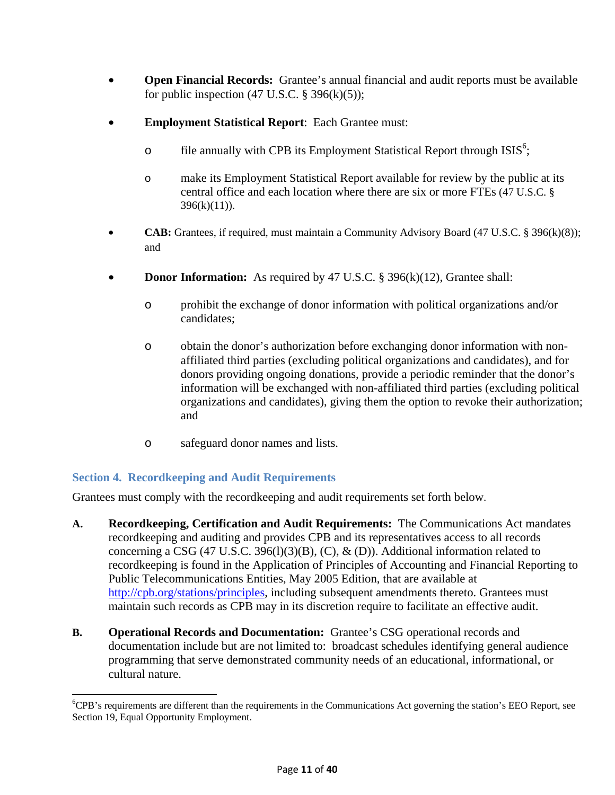- **Open Financial Records:** Grantee's annual financial and audit reports must be available for public inspection  $(47 \text{ U.S.C.} \$   $396(k)(5))$ ;
- **Employment Statistical Report**: Each Grantee must:
	- o file annually with CPB its Employment Statistical Report through  $ISS<sup>6</sup>$ ;
	- o make its Employment Statistical Report available for review by the public at its central office and each location where there are six or more FTEs (47 U.S.C. §  $396(k)(11)$ ).
- **CAB:** Grantees, if required, must maintain a Community Advisory Board (47 U.S.C. § 396(k)(8)); and
- **Donor Information:** As required by 47 U.S.C. § 396(k)(12), Grantee shall:
	- o prohibit the exchange of donor information with political organizations and/or candidates;
	- o obtain the donor's authorization before exchanging donor information with nonaffiliated third parties (excluding political organizations and candidates), and for donors providing ongoing donations, provide a periodic reminder that the donor's information will be exchanged with non-affiliated third parties (excluding political organizations and candidates), giving them the option to revoke their authorization; and
	- o safeguard donor names and lists.

### **Section 4. Recordkeeping and Audit Requirements**

 $\overline{a}$ 

Grantees must comply with the recordkeeping and audit requirements set forth below.

- **A. Recordkeeping, Certification and Audit Requirements:** The Communications Act mandates recordkeeping and auditing and provides CPB and its representatives access to all records concerning a CSG (47 U.S.C. 396(1)(3)(B), (C),  $\&$  (D)). Additional information related to recordkeeping is found in the Application of Principles of Accounting and Financial Reporting to Public Telecommunications Entities, May 2005 Edition, that are available at http://cpb.org/stations/principles, including subsequent amendments thereto. Grantees must maintain such records as CPB may in its discretion require to facilitate an effective audit.
- **B. Operational Records and Documentation:** Grantee's CSG operational records and documentation include but are not limited to: broadcast schedules identifying general audience programming that serve demonstrated community needs of an educational, informational, or cultural nature.

<sup>&</sup>lt;sup>6</sup>CPB's requirements are different than the requirements in the Communications Act governing the station's EEO Report, see Section 19, Equal Opportunity Employment.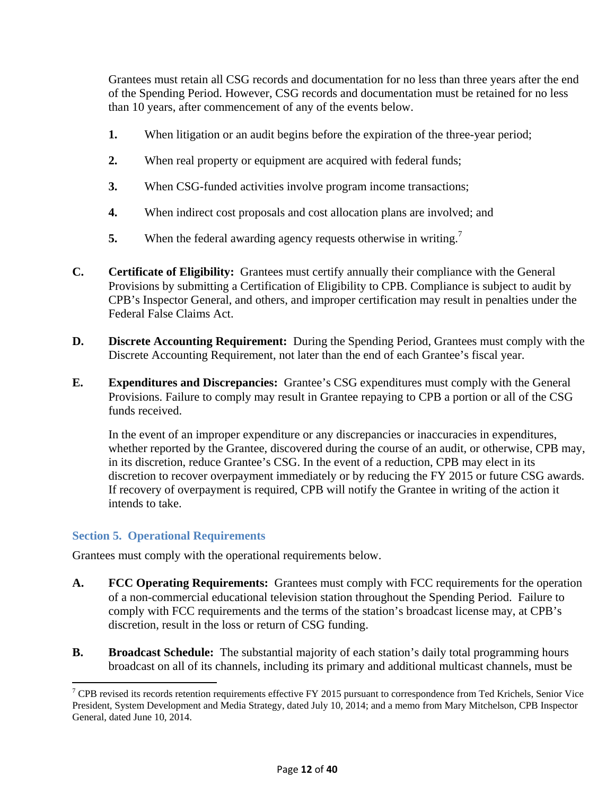Grantees must retain all CSG records and documentation for no less than three years after the end of the Spending Period. However, CSG records and documentation must be retained for no less than 10 years, after commencement of any of the events below.

- **1.** When litigation or an audit begins before the expiration of the three-year period;
- **2.** When real property or equipment are acquired with federal funds;
- **3.** When CSG-funded activities involve program income transactions;
- **4.** When indirect cost proposals and cost allocation plans are involved; and
- **5.** When the federal awarding agency requests otherwise in writing.<sup>7</sup>
- **C. Certificate of Eligibility:** Grantees must certify annually their compliance with the General Provisions by submitting a Certification of Eligibility to CPB. Compliance is subject to audit by CPB's Inspector General, and others, and improper certification may result in penalties under the Federal False Claims Act.
- **D. Discrete Accounting Requirement:** During the Spending Period, Grantees must comply with the Discrete Accounting Requirement, not later than the end of each Grantee's fiscal year.
- **E. Expenditures and Discrepancies:** Grantee's CSG expenditures must comply with the General Provisions. Failure to comply may result in Grantee repaying to CPB a portion or all of the CSG funds received.

 In the event of an improper expenditure or any discrepancies or inaccuracies in expenditures, whether reported by the Grantee, discovered during the course of an audit, or otherwise, CPB may, in its discretion, reduce Grantee's CSG. In the event of a reduction, CPB may elect in its discretion to recover overpayment immediately or by reducing the FY 2015 or future CSG awards. If recovery of overpayment is required, CPB will notify the Grantee in writing of the action it intends to take.

### **Section 5. Operational Requirements**

 $\overline{\phantom{a}}$ 

Grantees must comply with the operational requirements below.

- **A. FCC Operating Requirements:** Grantees must comply with FCC requirements for the operation of a non-commercial educational television station throughout the Spending Period. Failure to comply with FCC requirements and the terms of the station's broadcast license may, at CPB's discretion, result in the loss or return of CSG funding.
- **B.** Broadcast Schedule: The substantial majority of each station's daily total programming hours broadcast on all of its channels, including its primary and additional multicast channels, must be

 $7$  CPB revised its records retention requirements effective FY 2015 pursuant to correspondence from Ted Krichels, Senior Vice President, System Development and Media Strategy, dated July 10, 2014; and a memo from Mary Mitchelson, CPB Inspector General, dated June 10, 2014.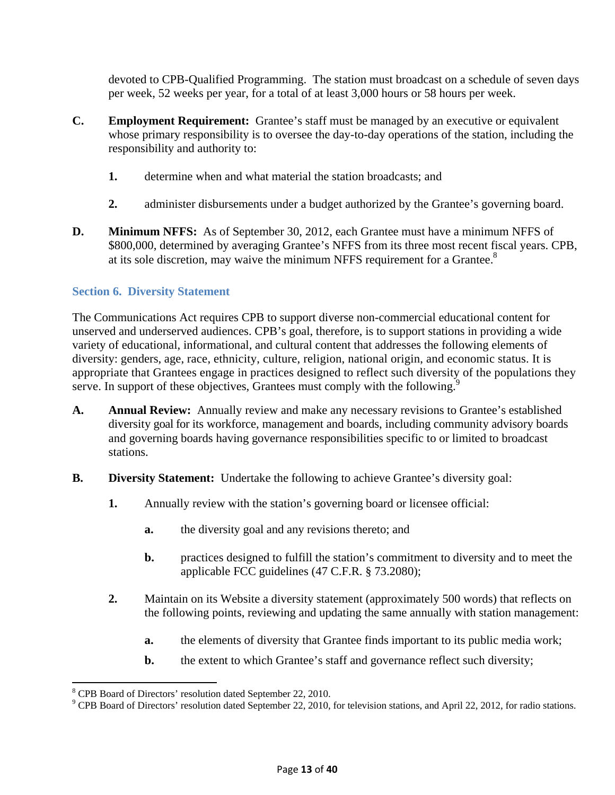devoted to CPB-Qualified Programming. The station must broadcast on a schedule of seven days per week, 52 weeks per year, for a total of at least 3,000 hours or 58 hours per week.

- **C. Employment Requirement:** Grantee's staff must be managed by an executive or equivalent whose primary responsibility is to oversee the day-to-day operations of the station, including the responsibility and authority to:
	- **1.** determine when and what material the station broadcasts; and
	- **2.** administer disbursements under a budget authorized by the Grantee's governing board.
- **D. Minimum NFFS:** As of September 30, 2012, each Grantee must have a minimum NFFS of \$800,000, determined by averaging Grantee's NFFS from its three most recent fiscal years. CPB, at its sole discretion, may waive the minimum NFFS requirement for a Grantee.<sup>8</sup>

### **Section 6. Diversity Statement**

The Communications Act requires CPB to support diverse non-commercial educational content for unserved and underserved audiences. CPB's goal, therefore, is to support stations in providing a wide variety of educational, informational, and cultural content that addresses the following elements of diversity: genders, age, race, ethnicity, culture, religion, national origin, and economic status. It is appropriate that Grantees engage in practices designed to reflect such diversity of the populations they serve. In support of these objectives, Grantees must comply with the following.<sup>9</sup>

- **A. Annual Review:** Annually review and make any necessary revisions to Grantee's established diversity goal for its workforce, management and boards, including community advisory boards and governing boards having governance responsibilities specific to or limited to broadcast stations.
- **B. Diversity Statement:** Undertake the following to achieve Grantee's diversity goal:
	- **1.** Annually review with the station's governing board or licensee official:
		- **a.** the diversity goal and any revisions thereto; and
		- **b.** practices designed to fulfill the station's commitment to diversity and to meet the applicable FCC guidelines (47 C.F.R. § 73.2080);
	- **2.** Maintain on its Website a diversity statement (approximately 500 words) that reflects on the following points, reviewing and updating the same annually with station management:
		- **a.** the elements of diversity that Grantee finds important to its public media work;
		- **b.** the extent to which Grantee's staff and governance reflect such diversity;

 $\overline{\phantom{a}}$ 

<sup>&</sup>lt;sup>8</sup> CPB Board of Directors' resolution dated September 22, 2010.

<sup>&</sup>lt;sup>9</sup> CPB Board of Directors' resolution dated September 22, 2010, for television stations, and April 22, 2012, for radio stations.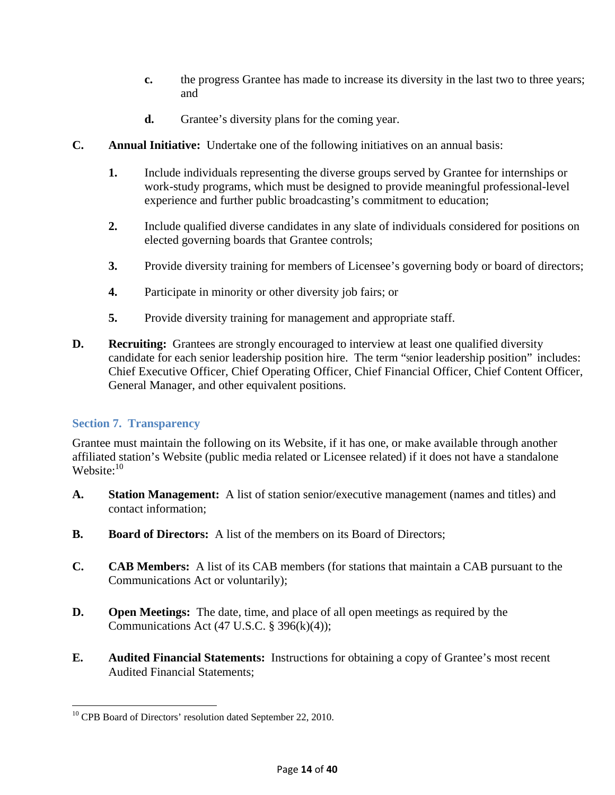- **c.** the progress Grantee has made to increase its diversity in the last two to three years; and
- **d.** Grantee's diversity plans for the coming year.
- **C. Annual Initiative:** Undertake one of the following initiatives on an annual basis:
	- **1.** Include individuals representing the diverse groups served by Grantee for internships or work-study programs, which must be designed to provide meaningful professional-level experience and further public broadcasting's commitment to education;
	- **2.** Include qualified diverse candidates in any slate of individuals considered for positions on elected governing boards that Grantee controls;
	- **3.** Provide diversity training for members of Licensee's governing body or board of directors;
	- **4.** Participate in minority or other diversity job fairs; or
	- **5.** Provide diversity training for management and appropriate staff.
- **D. Recruiting:** Grantees are strongly encouraged to interview at least one qualified diversity candidate for each senior leadership position hire. The term "senior leadership position" includes: Chief Executive Officer, Chief Operating Officer, Chief Financial Officer, Chief Content Officer, General Manager, and other equivalent positions.

### **Section 7. Transparency**

Grantee must maintain the following on its Website, if it has one, or make available through another affiliated station's Website (public media related or Licensee related) if it does not have a standalone Website:<sup>10</sup>

- **A. Station Management:** A list of station senior/executive management (names and titles) and contact information;
- **B. Board of Directors:** A list of the members on its Board of Directors;
- **C. CAB Members:** A list of its CAB members (for stations that maintain a CAB pursuant to the Communications Act or voluntarily);
- **D. Open Meetings:** The date, time, and place of all open meetings as required by the Communications Act  $(47 \text{ U.S.C.} \$   $396(k)(4))$ ;
- **E. Audited Financial Statements:** Instructions for obtaining a copy of Grantee's most recent Audited Financial Statements;

 $\overline{\phantom{a}}$ <sup>10</sup> CPB Board of Directors' resolution dated September 22, 2010.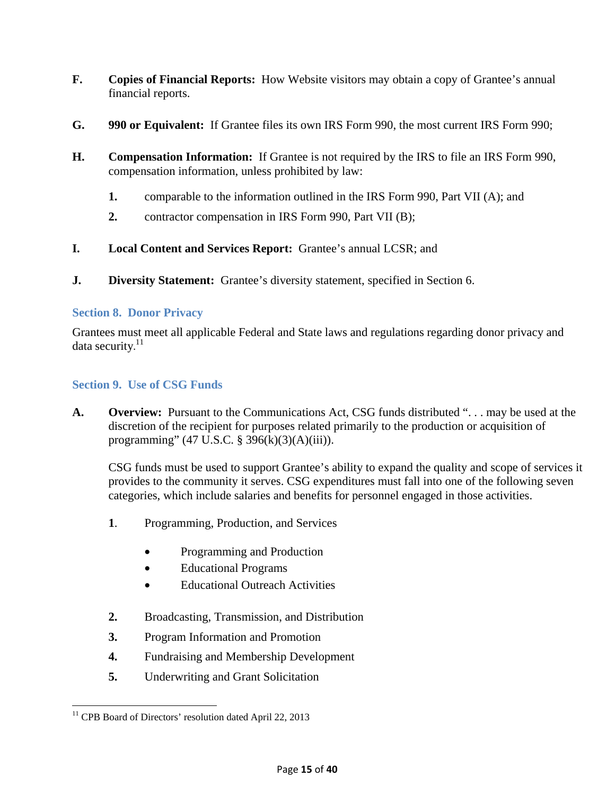- **F. Copies of Financial Reports:** How Website visitors may obtain a copy of Grantee's annual financial reports.
- **G. 990 or Equivalent:** If Grantee files its own IRS Form 990, the most current IRS Form 990;
- **H. Compensation Information:** If Grantee is not required by the IRS to file an IRS Form 990, compensation information, unless prohibited by law:
	- **1.** comparable to the information outlined in the IRS Form 990, Part VII (A); and
	- **2.** contractor compensation in IRS Form 990, Part VII (B);
- **I. Local Content and Services Report:** Grantee's annual LCSR; and
- **J. Diversity Statement:** Grantee's diversity statement, specified in Section 6.

### **Section 8. Donor Privacy**

Grantees must meet all applicable Federal and State laws and regulations regarding donor privacy and data security.<sup>11</sup>

### **Section 9. Use of CSG Funds**

**A. Overview:** Pursuant to the Communications Act, CSG funds distributed ". . . may be used at the discretion of the recipient for purposes related primarily to the production or acquisition of programming" (47 U.S.C. § 396(k)(3)(A)(iii)).

CSG funds must be used to support Grantee's ability to expand the quality and scope of services it provides to the community it serves. CSG expenditures must fall into one of the following seven categories, which include salaries and benefits for personnel engaged in those activities.

- **1**. Programming, Production, and Services
	- Programming and Production
	- Educational Programs
	- **Educational Outreach Activities**
- **2.** Broadcasting, Transmission, and Distribution
- **3.** Program Information and Promotion
- **4.** Fundraising and Membership Development
- **5.** Underwriting and Grant Solicitation

 $\overline{\phantom{a}}$ <sup>11</sup> CPB Board of Directors' resolution dated April 22, 2013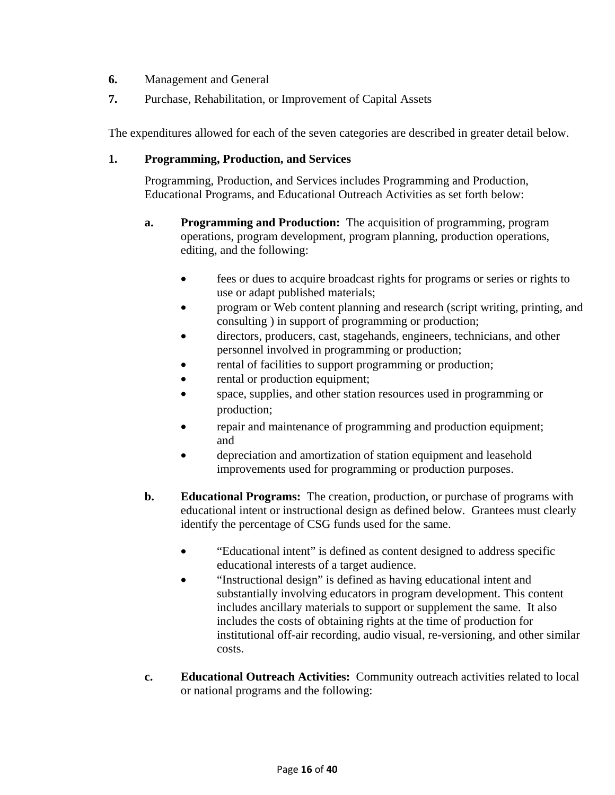- **6.** Management and General
- **7.** Purchase, Rehabilitation, or Improvement of Capital Assets

The expenditures allowed for each of the seven categories are described in greater detail below.

#### **1. Programming, Production, and Services**

Programming, Production, and Services includes Programming and Production, Educational Programs, and Educational Outreach Activities as set forth below:

- **a. Programming and Production:** The acquisition of programming, program operations, program development, program planning, production operations, editing, and the following:
	- fees or dues to acquire broadcast rights for programs or series or rights to use or adapt published materials;
	- program or Web content planning and research (script writing, printing, and consulting ) in support of programming or production;
	- directors, producers, cast, stagehands, engineers, technicians, and other personnel involved in programming or production;
	- rental of facilities to support programming or production;
	- rental or production equipment;
	- space, supplies, and other station resources used in programming or production;
	- repair and maintenance of programming and production equipment; and
	- depreciation and amortization of station equipment and leasehold improvements used for programming or production purposes.
- **b. Educational Programs:** The creation, production, or purchase of programs with educational intent or instructional design as defined below. Grantees must clearly identify the percentage of CSG funds used for the same.
	- "Educational intent" is defined as content designed to address specific educational interests of a target audience.
	- "Instructional design" is defined as having educational intent and substantially involving educators in program development. This content includes ancillary materials to support or supplement the same. It also includes the costs of obtaining rights at the time of production for institutional off-air recording, audio visual, re-versioning, and other similar costs.
- **c. Educational Outreach Activities:** Community outreach activities related to local or national programs and the following: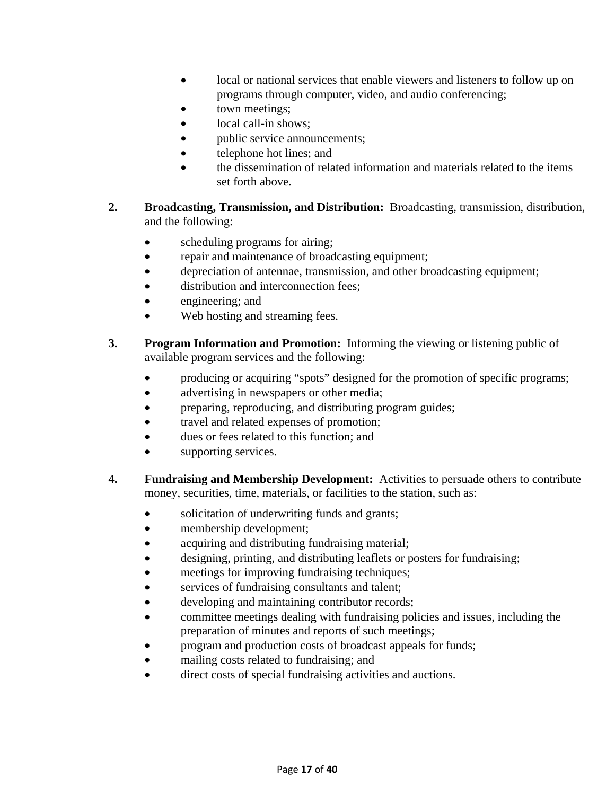- local or national services that enable viewers and listeners to follow up on programs through computer, video, and audio conferencing;
- town meetings;
- local call-in shows:
- public service announcements;
- telephone hot lines; and
- the dissemination of related information and materials related to the items set forth above.
- **2. Broadcasting, Transmission, and Distribution:** Broadcasting, transmission, distribution, and the following:
	- scheduling programs for airing;
	- repair and maintenance of broadcasting equipment;
	- depreciation of antennae, transmission, and other broadcasting equipment;
	- distribution and interconnection fees;
	- engineering; and
	- Web hosting and streaming fees.
- **3. Program Information and Promotion:** Informing the viewing or listening public of available program services and the following:
	- producing or acquiring "spots" designed for the promotion of specific programs;
	- advertising in newspapers or other media;
	- preparing, reproducing, and distributing program guides;
	- travel and related expenses of promotion;
	- dues or fees related to this function; and
	- supporting services.
- **4. Fundraising and Membership Development:** Activities to persuade others to contribute money, securities, time, materials, or facilities to the station, such as:
	- solicitation of underwriting funds and grants;
	- membership development;
	- acquiring and distributing fundraising material;
	- designing, printing, and distributing leaflets or posters for fundraising;
	- meetings for improving fundraising techniques;
	- services of fundraising consultants and talent;
	- developing and maintaining contributor records;
	- committee meetings dealing with fundraising policies and issues, including the preparation of minutes and reports of such meetings;
	- program and production costs of broadcast appeals for funds;
	- mailing costs related to fundraising; and
	- direct costs of special fundraising activities and auctions.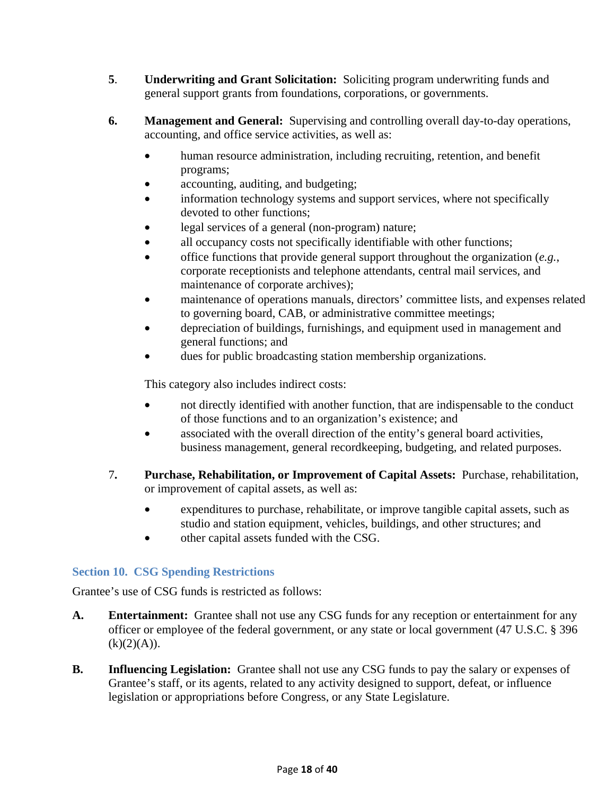- **5**. **Underwriting and Grant Solicitation:** Soliciting program underwriting funds and general support grants from foundations, corporations, or governments.
- **6. Management and General:** Supervising and controlling overall day-to-day operations, accounting, and office service activities, as well as:
	- human resource administration, including recruiting, retention, and benefit programs;
	- accounting, auditing, and budgeting;
	- information technology systems and support services, where not specifically devoted to other functions;
	- legal services of a general (non-program) nature;
	- all occupancy costs not specifically identifiable with other functions;
	- office functions that provide general support throughout the organization (*e.g.*, corporate receptionists and telephone attendants, central mail services, and maintenance of corporate archives);
	- maintenance of operations manuals, directors' committee lists, and expenses related to governing board, CAB, or administrative committee meetings;
	- depreciation of buildings, furnishings, and equipment used in management and general functions; and
	- dues for public broadcasting station membership organizations.

This category also includes indirect costs:

- not directly identified with another function, that are indispensable to the conduct of those functions and to an organization's existence; and
- associated with the overall direction of the entity's general board activities, business management, general recordkeeping, budgeting, and related purposes.
- 7**. Purchase, Rehabilitation, or Improvement of Capital Assets:** Purchase, rehabilitation, or improvement of capital assets, as well as:
	- expenditures to purchase, rehabilitate, or improve tangible capital assets, such as studio and station equipment, vehicles, buildings, and other structures; and
	- other capital assets funded with the CSG.

### **Section 10. CSG Spending Restrictions**

Grantee's use of CSG funds is restricted as follows:

- **A. Entertainment:** Grantee shall not use any CSG funds for any reception or entertainment for any officer or employee of the federal government, or any state or local government (47 U.S.C. § 396  $(k)(2)(A)).$
- **B. Influencing Legislation:** Grantee shall not use any CSG funds to pay the salary or expenses of Grantee's staff, or its agents, related to any activity designed to support, defeat, or influence legislation or appropriations before Congress, or any State Legislature.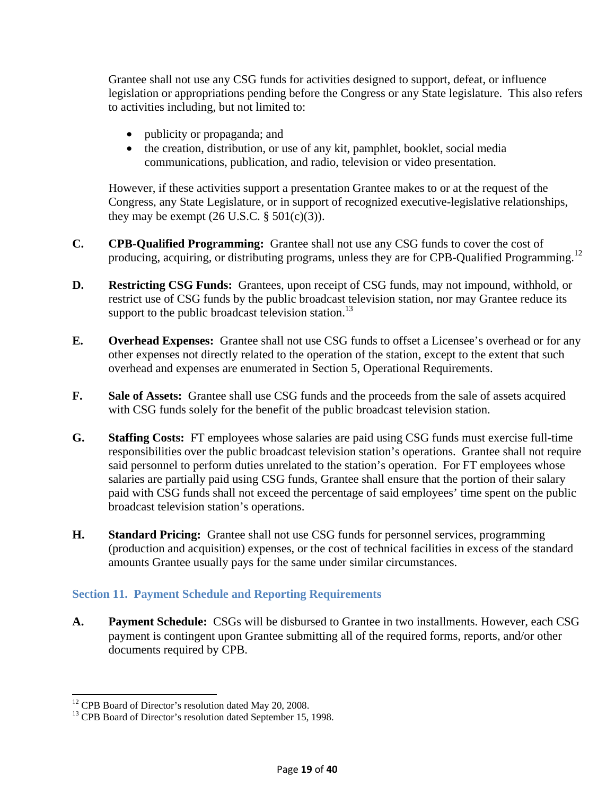Grantee shall not use any CSG funds for activities designed to support, defeat, or influence legislation or appropriations pending before the Congress or any State legislature. This also refers to activities including, but not limited to:

- publicity or propaganda; and
- the creation, distribution, or use of any kit, pamphlet, booklet, social media communications, publication, and radio, television or video presentation.

However, if these activities support a presentation Grantee makes to or at the request of the Congress, any State Legislature, or in support of recognized executive-legislative relationships, they may be exempt  $(26 \text{ U.S.C.} \S 501(c)(3))$ .

- **C. CPB-Qualified Programming:** Grantee shall not use any CSG funds to cover the cost of producing, acquiring, or distributing programs, unless they are for CPB-Qualified Programming.<sup>12</sup>
- **D. Restricting CSG Funds:** Grantees, upon receipt of CSG funds, may not impound, withhold, or restrict use of CSG funds by the public broadcast television station, nor may Grantee reduce its support to the public broadcast television station.<sup>13</sup>
- **E. Overhead Expenses:** Grantee shall not use CSG funds to offset a Licensee's overhead or for any other expenses not directly related to the operation of the station, except to the extent that such overhead and expenses are enumerated in Section 5, Operational Requirements.
- **F. Sale of Assets:** Grantee shall use CSG funds and the proceeds from the sale of assets acquired with CSG funds solely for the benefit of the public broadcast television station.
- **G. Staffing Costs:** FT employees whose salaries are paid using CSG funds must exercise full-time responsibilities over the public broadcast television station's operations. Grantee shall not require said personnel to perform duties unrelated to the station's operation. For FT employees whose salaries are partially paid using CSG funds, Grantee shall ensure that the portion of their salary paid with CSG funds shall not exceed the percentage of said employees' time spent on the public broadcast television station's operations.
- **H. Standard Pricing:** Grantee shall not use CSG funds for personnel services, programming (production and acquisition) expenses, or the cost of technical facilities in excess of the standard amounts Grantee usually pays for the same under similar circumstances.

#### **Section 11. Payment Schedule and Reporting Requirements**

**A. Payment Schedule:** CSGs will be disbursed to Grantee in two installments. However, each CSG payment is contingent upon Grantee submitting all of the required forms, reports, and/or other documents required by CPB.

 $\overline{a}$ 

<sup>&</sup>lt;sup>12</sup> CPB Board of Director's resolution dated May 20, 2008.

<sup>&</sup>lt;sup>13</sup> CPB Board of Director's resolution dated September 15, 1998.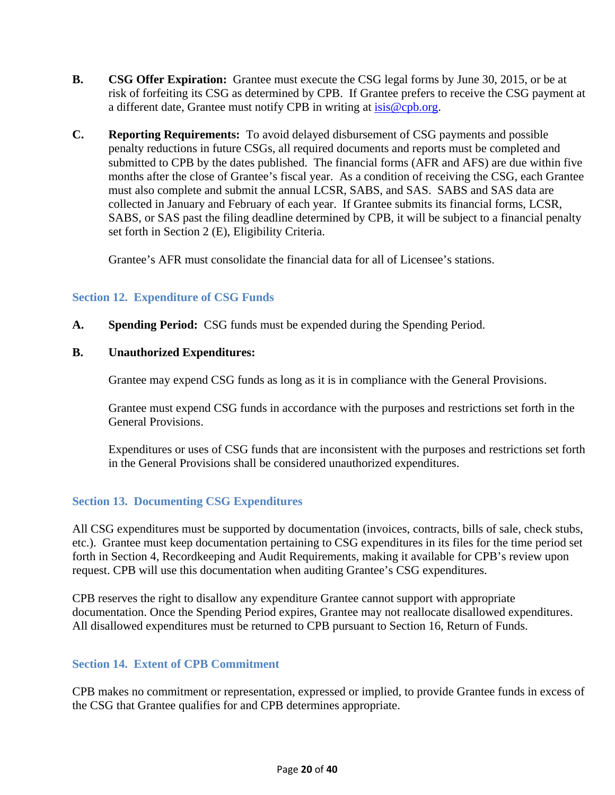- **B.** CSG Offer Expiration: Grantee must execute the CSG legal forms by June 30, 2015, or be at risk of forfeiting its CSG as determined by CPB. If Grantee prefers to receive the CSG payment at a different date, Grantee must notify CPB in writing at isis@cpb.org.
- **C. Reporting Requirements:** To avoid delayed disbursement of CSG payments and possible penalty reductions in future CSGs, all required documents and reports must be completed and submitted to CPB by the dates published. The financial forms (AFR and AFS) are due within five months after the close of Grantee's fiscal year. As a condition of receiving the CSG, each Grantee must also complete and submit the annual LCSR, SABS, and SAS. SABS and SAS data are collected in January and February of each year. If Grantee submits its financial forms, LCSR, SABS, or SAS past the filing deadline determined by CPB, it will be subject to a financial penalty set forth in Section 2 (E), Eligibility Criteria.

Grantee's AFR must consolidate the financial data for all of Licensee's stations.

#### **Section 12. Expenditure of CSG Funds**

**A. Spending Period:** CSG funds must be expended during the Spending Period.

#### **B. Unauthorized Expenditures:**

Grantee may expend CSG funds as long as it is in compliance with the General Provisions.

Grantee must expend CSG funds in accordance with the purposes and restrictions set forth in the General Provisions.

Expenditures or uses of CSG funds that are inconsistent with the purposes and restrictions set forth in the General Provisions shall be considered unauthorized expenditures.

#### **Section 13. Documenting CSG Expenditures**

All CSG expenditures must be supported by documentation (invoices, contracts, bills of sale, check stubs, etc.). Grantee must keep documentation pertaining to CSG expenditures in its files for the time period set forth in Section 4, Recordkeeping and Audit Requirements, making it available for CPB's review upon request. CPB will use this documentation when auditing Grantee's CSG expenditures.

CPB reserves the right to disallow any expenditure Grantee cannot support with appropriate documentation. Once the Spending Period expires, Grantee may not reallocate disallowed expenditures. All disallowed expenditures must be returned to CPB pursuant to Section 16, Return of Funds.

#### **Section 14. Extent of CPB Commitment**

CPB makes no commitment or representation, expressed or implied, to provide Grantee funds in excess of the CSG that Grantee qualifies for and CPB determines appropriate.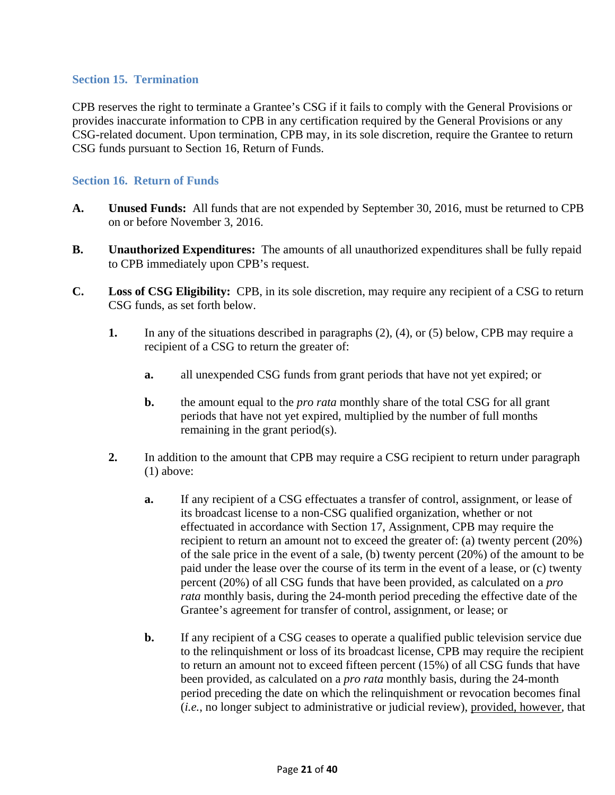#### **Section 15. Termination**

CPB reserves the right to terminate a Grantee's CSG if it fails to comply with the General Provisions or provides inaccurate information to CPB in any certification required by the General Provisions or any CSG-related document. Upon termination, CPB may, in its sole discretion, require the Grantee to return CSG funds pursuant to Section 16, Return of Funds.

#### **Section 16. Return of Funds**

- **A. Unused Funds:** All funds that are not expended by September 30, 2016, must be returned to CPB on or before November 3, 2016.
- **B. Unauthorized Expenditures:** The amounts of all unauthorized expenditures shall be fully repaid to CPB immediately upon CPB's request.
- **C. Loss of CSG Eligibility:** CPB, in its sole discretion, may require any recipient of a CSG to return CSG funds, as set forth below.
	- **1.** In any of the situations described in paragraphs (2), (4), or (5) below, CPB may require a recipient of a CSG to return the greater of:
		- **a.** all unexpended CSG funds from grant periods that have not yet expired; or
		- **b.** the amount equal to the *pro rata* monthly share of the total CSG for all grant periods that have not yet expired, multiplied by the number of full months remaining in the grant period(s).
	- **2.** In addition to the amount that CPB may require a CSG recipient to return under paragraph (1) above:
		- **a.** If any recipient of a CSG effectuates a transfer of control, assignment, or lease of its broadcast license to a non-CSG qualified organization, whether or not effectuated in accordance with Section 17, Assignment, CPB may require the recipient to return an amount not to exceed the greater of: (a) twenty percent (20%) of the sale price in the event of a sale, (b) twenty percent (20%) of the amount to be paid under the lease over the course of its term in the event of a lease, or (c) twenty percent (20%) of all CSG funds that have been provided, as calculated on a *pro rata* monthly basis, during the 24-month period preceding the effective date of the Grantee's agreement for transfer of control, assignment, or lease; or
		- **b.** If any recipient of a CSG ceases to operate a qualified public television service due to the relinquishment or loss of its broadcast license, CPB may require the recipient to return an amount not to exceed fifteen percent (15%) of all CSG funds that have been provided, as calculated on a *pro rata* monthly basis, during the 24-month period preceding the date on which the relinquishment or revocation becomes final (*i.e.*, no longer subject to administrative or judicial review), provided, however, that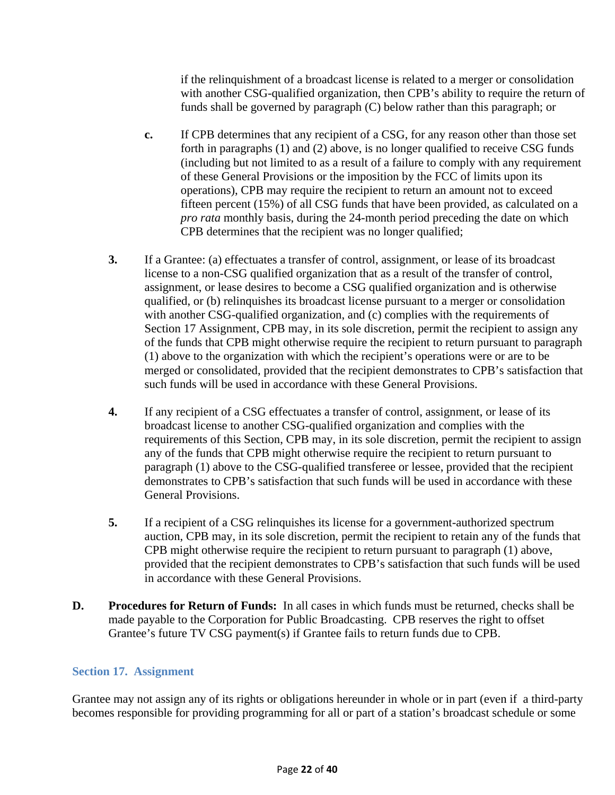if the relinquishment of a broadcast license is related to a merger or consolidation with another CSG-qualified organization, then CPB's ability to require the return of funds shall be governed by paragraph (C) below rather than this paragraph; or

- **c.** If CPB determines that any recipient of a CSG, for any reason other than those set forth in paragraphs (1) and (2) above, is no longer qualified to receive CSG funds (including but not limited to as a result of a failure to comply with any requirement of these General Provisions or the imposition by the FCC of limits upon its operations), CPB may require the recipient to return an amount not to exceed fifteen percent (15%) of all CSG funds that have been provided, as calculated on a *pro rata* monthly basis, during the 24-month period preceding the date on which CPB determines that the recipient was no longer qualified;
- **3.** If a Grantee: (a) effectuates a transfer of control, assignment, or lease of its broadcast license to a non-CSG qualified organization that as a result of the transfer of control, assignment, or lease desires to become a CSG qualified organization and is otherwise qualified, or (b) relinquishes its broadcast license pursuant to a merger or consolidation with another CSG-qualified organization, and (c) complies with the requirements of Section 17 Assignment, CPB may, in its sole discretion, permit the recipient to assign any of the funds that CPB might otherwise require the recipient to return pursuant to paragraph (1) above to the organization with which the recipient's operations were or are to be merged or consolidated, provided that the recipient demonstrates to CPB's satisfaction that such funds will be used in accordance with these General Provisions.
- **4.** If any recipient of a CSG effectuates a transfer of control, assignment, or lease of its broadcast license to another CSG-qualified organization and complies with the requirements of this Section, CPB may, in its sole discretion, permit the recipient to assign any of the funds that CPB might otherwise require the recipient to return pursuant to paragraph (1) above to the CSG-qualified transferee or lessee, provided that the recipient demonstrates to CPB's satisfaction that such funds will be used in accordance with these General Provisions.
- **5.** If a recipient of a CSG relinquishes its license for a government-authorized spectrum auction, CPB may, in its sole discretion, permit the recipient to retain any of the funds that CPB might otherwise require the recipient to return pursuant to paragraph (1) above, provided that the recipient demonstrates to CPB's satisfaction that such funds will be used in accordance with these General Provisions.
- **D.** Procedures for Return of Funds: In all cases in which funds must be returned, checks shall be made payable to the Corporation for Public Broadcasting. CPB reserves the right to offset Grantee's future TV CSG payment(s) if Grantee fails to return funds due to CPB.

### **Section 17. Assignment**

Grantee may not assign any of its rights or obligations hereunder in whole or in part (even if a third-party becomes responsible for providing programming for all or part of a station's broadcast schedule or some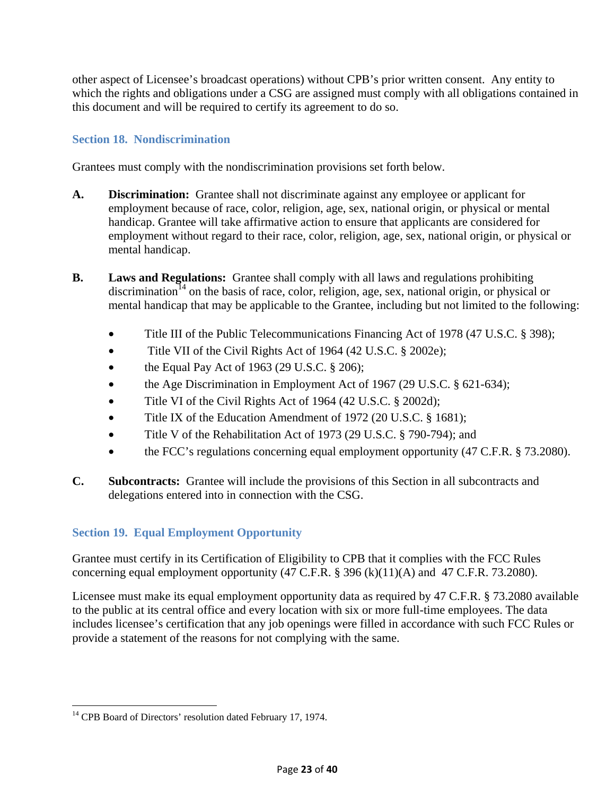other aspect of Licensee's broadcast operations) without CPB's prior written consent. Any entity to which the rights and obligations under a CSG are assigned must comply with all obligations contained in this document and will be required to certify its agreement to do so.

### **Section 18. Nondiscrimination**

Grantees must comply with the nondiscrimination provisions set forth below.

- **A. Discrimination:** Grantee shall not discriminate against any employee or applicant for employment because of race, color, religion, age, sex, national origin, or physical or mental handicap. Grantee will take affirmative action to ensure that applicants are considered for employment without regard to their race, color, religion, age, sex, national origin, or physical or mental handicap.
- **B. Laws and Regulations:** Grantee shall comply with all laws and regulations prohibiting discrimination<sup>14</sup> on the basis of race, color, religion, age, sex, national origin, or physical or mental handicap that may be applicable to the Grantee, including but not limited to the following:
	- Title III of the Public Telecommunications Financing Act of 1978 (47 U.S.C. § 398);
	- Title VII of the Civil Rights Act of 1964 (42 U.S.C. § 2002e);
	- the Equal Pay Act of 1963 (29 U.S.C.  $\S$  206);
	- the Age Discrimination in Employment Act of 1967 (29 U.S.C. § 621-634);
	- Title VI of the Civil Rights Act of 1964 (42 U.S.C. § 2002d);
	- Title IX of the Education Amendment of 1972 (20 U.S.C. § 1681);
	- Title V of the Rehabilitation Act of 1973 (29 U.S.C. § 790-794); and
	- the FCC's regulations concerning equal employment opportunity (47 C.F.R. § 73.2080).
- **C. Subcontracts:** Grantee will include the provisions of this Section in all subcontracts and delegations entered into in connection with the CSG.

### **Section 19. Equal Employment Opportunity**

Grantee must certify in its Certification of Eligibility to CPB that it complies with the FCC Rules concerning equal employment opportunity  $(47 \text{ C.F.R. }$  \$ 396 (k) $(11)(A)$  and 47 C.F.R. 73.2080).

Licensee must make its equal employment opportunity data as required by 47 C.F.R. § 73.2080 available to the public at its central office and every location with six or more full-time employees. The data includes licensee's certification that any job openings were filled in accordance with such FCC Rules or provide a statement of the reasons for not complying with the same.

 $\overline{\phantom{a}}$ <sup>14</sup> CPB Board of Directors' resolution dated February 17, 1974.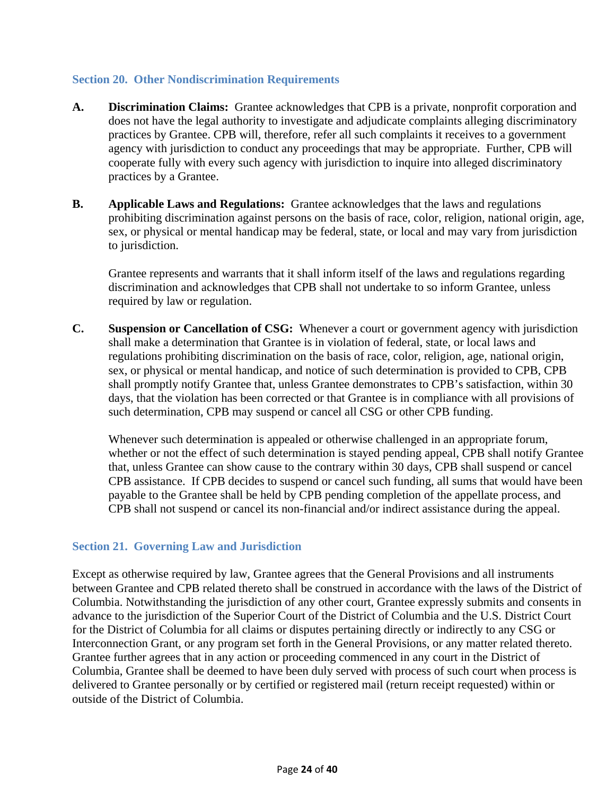#### **Section 20. Other Nondiscrimination Requirements**

- **A. Discrimination Claims:** Grantee acknowledges that CPB is a private, nonprofit corporation and does not have the legal authority to investigate and adjudicate complaints alleging discriminatory practices by Grantee. CPB will, therefore, refer all such complaints it receives to a government agency with jurisdiction to conduct any proceedings that may be appropriate. Further, CPB will cooperate fully with every such agency with jurisdiction to inquire into alleged discriminatory practices by a Grantee.
- **B. Applicable Laws and Regulations:** Grantee acknowledges that the laws and regulations prohibiting discrimination against persons on the basis of race, color, religion, national origin, age, sex, or physical or mental handicap may be federal, state, or local and may vary from jurisdiction to jurisdiction.

Grantee represents and warrants that it shall inform itself of the laws and regulations regarding discrimination and acknowledges that CPB shall not undertake to so inform Grantee, unless required by law or regulation.

**C. Suspension or Cancellation of CSG:** Whenever a court or government agency with jurisdiction shall make a determination that Grantee is in violation of federal, state, or local laws and regulations prohibiting discrimination on the basis of race, color, religion, age, national origin, sex, or physical or mental handicap, and notice of such determination is provided to CPB, CPB shall promptly notify Grantee that, unless Grantee demonstrates to CPB's satisfaction, within 30 days, that the violation has been corrected or that Grantee is in compliance with all provisions of such determination, CPB may suspend or cancel all CSG or other CPB funding.

Whenever such determination is appealed or otherwise challenged in an appropriate forum, whether or not the effect of such determination is stayed pending appeal, CPB shall notify Grantee that, unless Grantee can show cause to the contrary within 30 days, CPB shall suspend or cancel CPB assistance. If CPB decides to suspend or cancel such funding, all sums that would have been payable to the Grantee shall be held by CPB pending completion of the appellate process, and CPB shall not suspend or cancel its non-financial and/or indirect assistance during the appeal.

### **Section 21. Governing Law and Jurisdiction**

Except as otherwise required by law, Grantee agrees that the General Provisions and all instruments between Grantee and CPB related thereto shall be construed in accordance with the laws of the District of Columbia. Notwithstanding the jurisdiction of any other court, Grantee expressly submits and consents in advance to the jurisdiction of the Superior Court of the District of Columbia and the U.S. District Court for the District of Columbia for all claims or disputes pertaining directly or indirectly to any CSG or Interconnection Grant, or any program set forth in the General Provisions, or any matter related thereto. Grantee further agrees that in any action or proceeding commenced in any court in the District of Columbia, Grantee shall be deemed to have been duly served with process of such court when process is delivered to Grantee personally or by certified or registered mail (return receipt requested) within or outside of the District of Columbia.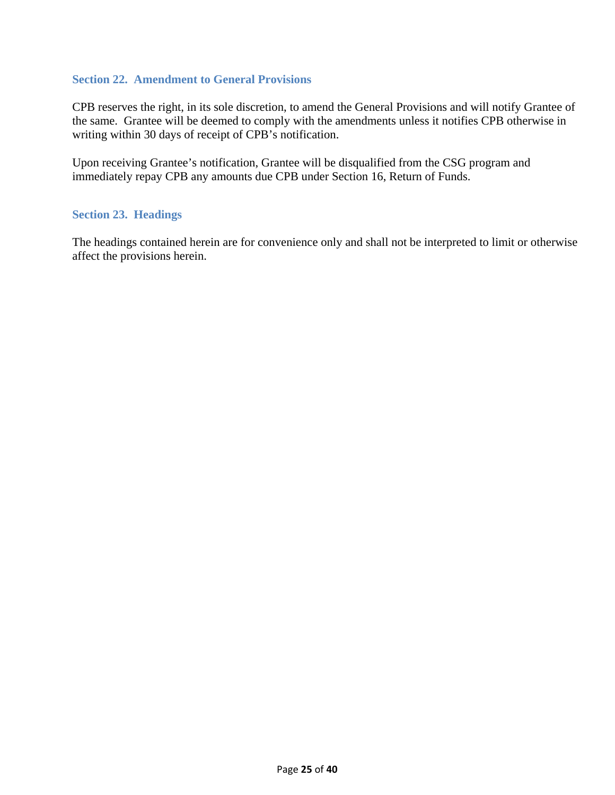#### **Section 22. Amendment to General Provisions**

CPB reserves the right, in its sole discretion, to amend the General Provisions and will notify Grantee of the same. Grantee will be deemed to comply with the amendments unless it notifies CPB otherwise in writing within 30 days of receipt of CPB's notification.

Upon receiving Grantee's notification, Grantee will be disqualified from the CSG program and immediately repay CPB any amounts due CPB under Section 16, Return of Funds.

#### **Section 23. Headings**

The headings contained herein are for convenience only and shall not be interpreted to limit or otherwise affect the provisions herein.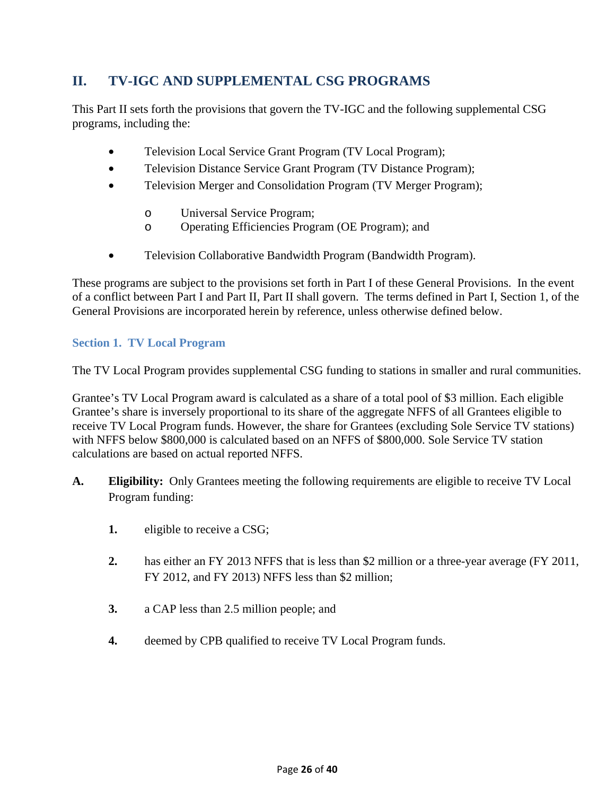# **II. TV-IGC AND SUPPLEMENTAL CSG PROGRAMS**

This Part II sets forth the provisions that govern the TV-IGC and the following supplemental CSG programs, including the:

- Television Local Service Grant Program (TV Local Program);
- Television Distance Service Grant Program (TV Distance Program);
- Television Merger and Consolidation Program (TV Merger Program);
	- o Universal Service Program;
	- o Operating Efficiencies Program (OE Program); and
- Television Collaborative Bandwidth Program (Bandwidth Program).

These programs are subject to the provisions set forth in Part I of these General Provisions. In the event of a conflict between Part I and Part II, Part II shall govern. The terms defined in Part I, Section 1, of the General Provisions are incorporated herein by reference, unless otherwise defined below.

### **Section 1. TV Local Program**

The TV Local Program provides supplemental CSG funding to stations in smaller and rural communities.

Grantee's TV Local Program award is calculated as a share of a total pool of \$3 million. Each eligible Grantee's share is inversely proportional to its share of the aggregate NFFS of all Grantees eligible to receive TV Local Program funds. However, the share for Grantees (excluding Sole Service TV stations) with NFFS below \$800,000 is calculated based on an NFFS of \$800,000. Sole Service TV station calculations are based on actual reported NFFS.

- **A. Eligibility:** Only Grantees meeting the following requirements are eligible to receive TV Local Program funding:
	- **1.** eligible to receive a CSG;
	- **2.** has either an FY 2013 NFFS that is less than \$2 million or a three-year average (FY 2011, FY 2012, and FY 2013) NFFS less than \$2 million;
	- **3.** a CAP less than 2.5 million people; and
	- **4.** deemed by CPB qualified to receive TV Local Program funds.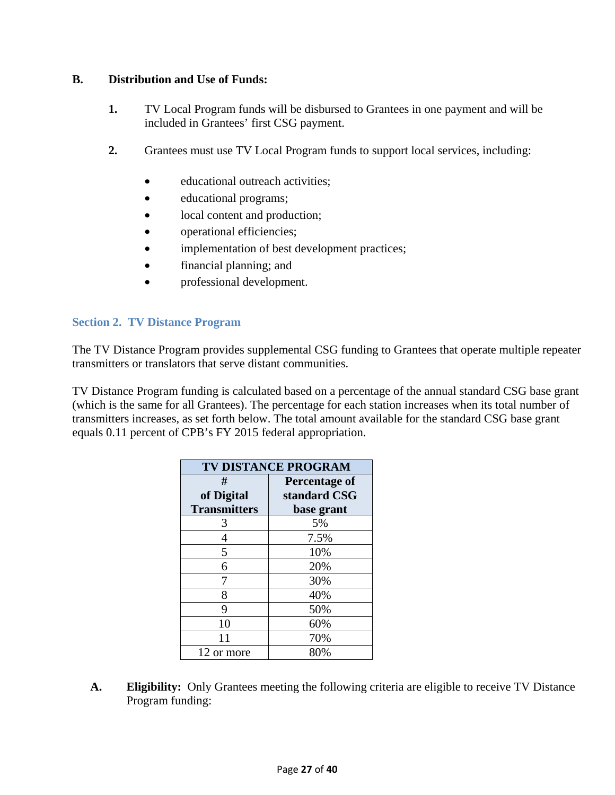#### **B. Distribution and Use of Funds:**

- **1.** TV Local Program funds will be disbursed to Grantees in one payment and will be included in Grantees' first CSG payment.
- **2.** Grantees must use TV Local Program funds to support local services, including:
	- educational outreach activities;
	- educational programs;
	- local content and production;
	- operational efficiencies;
	- implementation of best development practices;
	- financial planning; and
	- professional development.

#### **Section 2. TV Distance Program**

The TV Distance Program provides supplemental CSG funding to Grantees that operate multiple repeater transmitters or translators that serve distant communities.

TV Distance Program funding is calculated based on a percentage of the annual standard CSG base grant (which is the same for all Grantees). The percentage for each station increases when its total number of transmitters increases, as set forth below. The total amount available for the standard CSG base grant equals 0.11 percent of CPB's FY 2015 federal appropriation.

| <b>TV DISTANCE PROGRAM</b> |               |  |  |  |  |
|----------------------------|---------------|--|--|--|--|
| #                          | Percentage of |  |  |  |  |
| of Digital                 | standard CSG  |  |  |  |  |
| <b>Transmitters</b>        | base grant    |  |  |  |  |
| 3                          | 5%            |  |  |  |  |
| 4                          | 7.5%          |  |  |  |  |
| 5                          | 10%           |  |  |  |  |
| 6                          | 20%           |  |  |  |  |
| 7                          | 30%           |  |  |  |  |
| 8                          | 40%           |  |  |  |  |
| 9                          | 50%           |  |  |  |  |
| 10                         | 60%           |  |  |  |  |
| 11                         | 70%           |  |  |  |  |
| 12 or more                 | 80%           |  |  |  |  |

**A. Eligibility:** Only Grantees meeting the following criteria are eligible to receive TV Distance Program funding: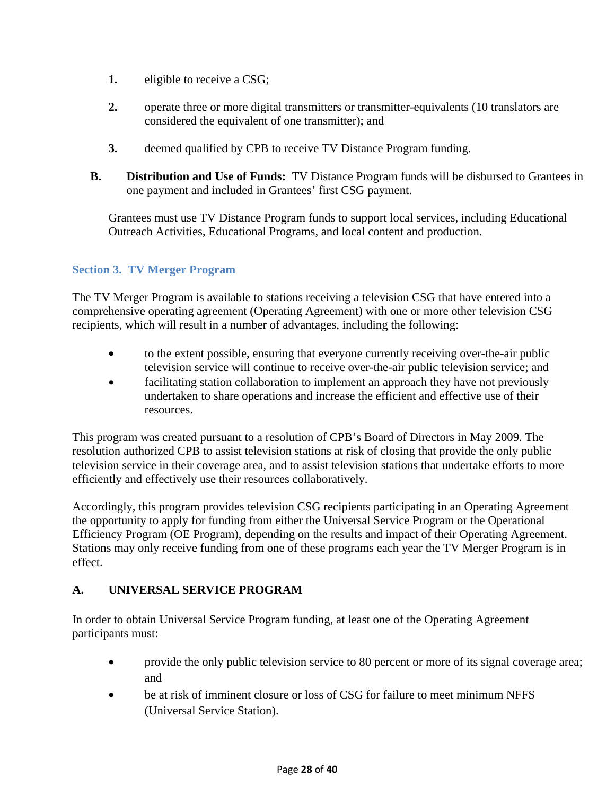- **1.** eligible to receive a CSG;
- 2. operate three or more digital transmitters or transmitter-equivalents (10 translators are considered the equivalent of one transmitter); and
- **3.** deemed qualified by CPB to receive TV Distance Program funding.
- **B. Distribution and Use of Funds:** TV Distance Program funds will be disbursed to Grantees in one payment and included in Grantees' first CSG payment.

Grantees must use TV Distance Program funds to support local services, including Educational Outreach Activities, Educational Programs, and local content and production.

# **Section 3. TV Merger Program**

The TV Merger Program is available to stations receiving a television CSG that have entered into a comprehensive operating agreement (Operating Agreement) with one or more other television CSG recipients, which will result in a number of advantages, including the following:

- to the extent possible, ensuring that everyone currently receiving over-the-air public television service will continue to receive over-the-air public television service; and
- facilitating station collaboration to implement an approach they have not previously undertaken to share operations and increase the efficient and effective use of their resources.

This program was created pursuant to a resolution of CPB's Board of Directors in May 2009. The resolution authorized CPB to assist television stations at risk of closing that provide the only public television service in their coverage area, and to assist television stations that undertake efforts to more efficiently and effectively use their resources collaboratively.

Accordingly, this program provides television CSG recipients participating in an Operating Agreement the opportunity to apply for funding from either the Universal Service Program or the Operational Efficiency Program (OE Program), depending on the results and impact of their Operating Agreement. Stations may only receive funding from one of these programs each year the TV Merger Program is in effect.

### **A. UNIVERSAL SERVICE PROGRAM**

In order to obtain Universal Service Program funding, at least one of the Operating Agreement participants must:

- provide the only public television service to 80 percent or more of its signal coverage area; and
- be at risk of imminent closure or loss of CSG for failure to meet minimum NFFS (Universal Service Station).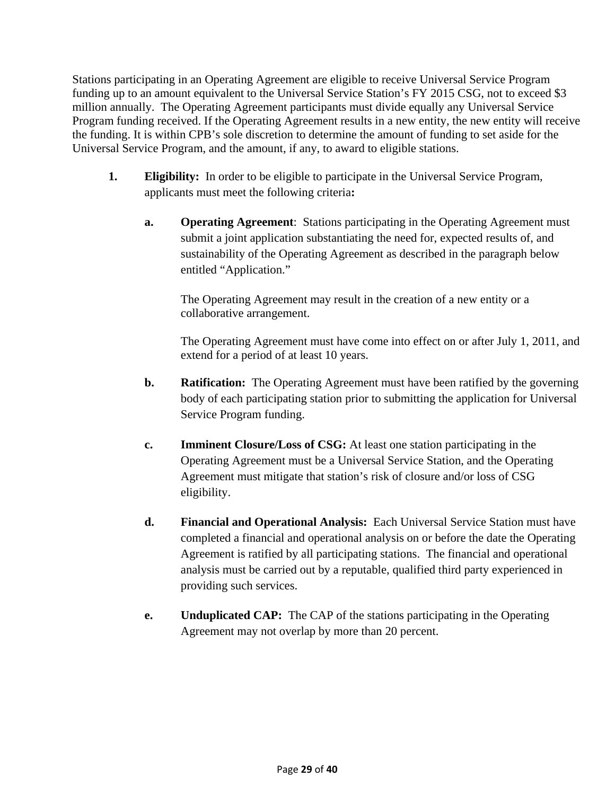Stations participating in an Operating Agreement are eligible to receive Universal Service Program funding up to an amount equivalent to the Universal Service Station's FY 2015 CSG, not to exceed \$3 million annually. The Operating Agreement participants must divide equally any Universal Service Program funding received. If the Operating Agreement results in a new entity, the new entity will receive the funding. It is within CPB's sole discretion to determine the amount of funding to set aside for the Universal Service Program, and the amount, if any, to award to eligible stations.

- **1. Eligibility:** In order to be eligible to participate in the Universal Service Program, applicants must meet the following criteria**:**
	- **a. Operating Agreement**: Stations participating in the Operating Agreement must submit a joint application substantiating the need for, expected results of, and sustainability of the Operating Agreement as described in the paragraph below entitled "Application."

The Operating Agreement may result in the creation of a new entity or a collaborative arrangement.

The Operating Agreement must have come into effect on or after July 1, 2011, and extend for a period of at least 10 years.

- **b. Ratification:** The Operating Agreement must have been ratified by the governing body of each participating station prior to submitting the application for Universal Service Program funding.
- **c. Imminent Closure/Loss of CSG:** At least one station participating in the Operating Agreement must be a Universal Service Station, and the Operating Agreement must mitigate that station's risk of closure and/or loss of CSG eligibility.
- **d. Financial and Operational Analysis:** Each Universal Service Station must have completed a financial and operational analysis on or before the date the Operating Agreement is ratified by all participating stations. The financial and operational analysis must be carried out by a reputable, qualified third party experienced in providing such services.
- **e. Unduplicated CAP:** The CAP of the stations participating in the Operating Agreement may not overlap by more than 20 percent.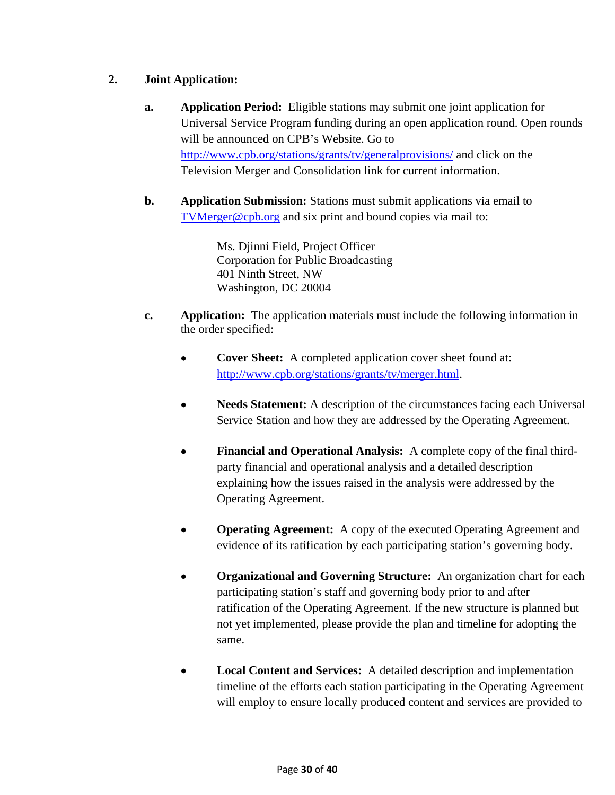## **2. Joint Application:**

- **a. Application Period:** Eligible stations may submit one joint application for Universal Service Program funding during an open application round. Open rounds will be announced on CPB's Website. Go to http://www.cpb.org/stations/grants/tv/generalprovisions/ and click on the Television Merger and Consolidation link for current information.
- **b. Application Submission:** Stations must submit applications via email to TVMerger@cpb.org and six print and bound copies via mail to:

Ms. Djinni Field, Project Officer Corporation for Public Broadcasting 401 Ninth Street, NW Washington, DC 20004

- **c. Application:** The application materials must include the following information in the order specified:
	- **Cover Sheet:** A completed application cover sheet found at: http://www.cpb.org/stations/grants/tv/merger.html.
	- **Needs Statement:** A description of the circumstances facing each Universal Service Station and how they are addressed by the Operating Agreement.
	- **Financial and Operational Analysis:** A complete copy of the final thirdparty financial and operational analysis and a detailed description explaining how the issues raised in the analysis were addressed by the Operating Agreement.
	- **Operating Agreement:** A copy of the executed Operating Agreement and evidence of its ratification by each participating station's governing body.
	- **Organizational and Governing Structure:** An organization chart for each participating station's staff and governing body prior to and after ratification of the Operating Agreement. If the new structure is planned but not yet implemented, please provide the plan and timeline for adopting the same.
	- **Local Content and Services:** A detailed description and implementation timeline of the efforts each station participating in the Operating Agreement will employ to ensure locally produced content and services are provided to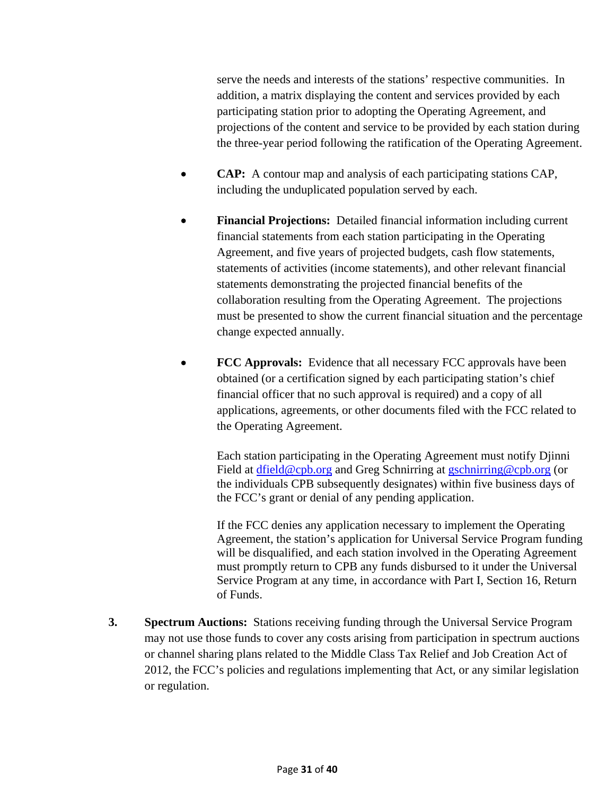serve the needs and interests of the stations' respective communities. In addition, a matrix displaying the content and services provided by each participating station prior to adopting the Operating Agreement, and projections of the content and service to be provided by each station during the three-year period following the ratification of the Operating Agreement.

- **CAP:** A contour map and analysis of each participating stations CAP, including the unduplicated population served by each.
- **Financial Projections:** Detailed financial information including current financial statements from each station participating in the Operating Agreement, and five years of projected budgets, cash flow statements, statements of activities (income statements), and other relevant financial statements demonstrating the projected financial benefits of the collaboration resulting from the Operating Agreement. The projections must be presented to show the current financial situation and the percentage change expected annually.
- **FCC Approvals:** Evidence that all necessary FCC approvals have been obtained (or a certification signed by each participating station's chief financial officer that no such approval is required) and a copy of all applications, agreements, or other documents filed with the FCC related to the Operating Agreement.

 Each station participating in the Operating Agreement must notify Djinni Field at dfield@cpb.org and Greg Schnirring at gschnirring@cpb.org (or the individuals CPB subsequently designates) within five business days of the FCC's grant or denial of any pending application.

 If the FCC denies any application necessary to implement the Operating Agreement, the station's application for Universal Service Program funding will be disqualified, and each station involved in the Operating Agreement must promptly return to CPB any funds disbursed to it under the Universal Service Program at any time, in accordance with Part I, Section 16, Return of Funds.

**3. Spectrum Auctions:** Stations receiving funding through the Universal Service Program may not use those funds to cover any costs arising from participation in spectrum auctions or channel sharing plans related to the Middle Class Tax Relief and Job Creation Act of 2012, the FCC's policies and regulations implementing that Act, or any similar legislation or regulation.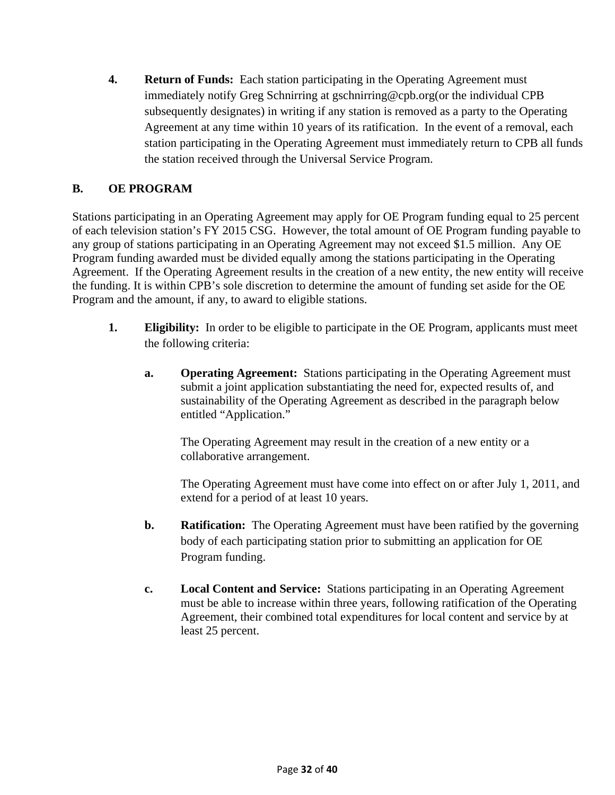**4. Return of Funds:** Each station participating in the Operating Agreement must immediately notify Greg Schnirring at gschnirring@cpb.org(or the individual CPB subsequently designates) in writing if any station is removed as a party to the Operating Agreement at any time within 10 years of its ratification. In the event of a removal, each station participating in the Operating Agreement must immediately return to CPB all funds the station received through the Universal Service Program.

## **B. OE PROGRAM**

Stations participating in an Operating Agreement may apply for OE Program funding equal to 25 percent of each television station's FY 2015 CSG. However, the total amount of OE Program funding payable to any group of stations participating in an Operating Agreement may not exceed \$1.5 million. Any OE Program funding awarded must be divided equally among the stations participating in the Operating Agreement. If the Operating Agreement results in the creation of a new entity, the new entity will receive the funding. It is within CPB's sole discretion to determine the amount of funding set aside for the OE Program and the amount, if any, to award to eligible stations.

- **1. Eligibility:** In order to be eligible to participate in the OE Program, applicants must meet the following criteria:
	- **a. Operating Agreement:** Stations participating in the Operating Agreement must submit a joint application substantiating the need for, expected results of, and sustainability of the Operating Agreement as described in the paragraph below entitled "Application."

The Operating Agreement may result in the creation of a new entity or a collaborative arrangement.

The Operating Agreement must have come into effect on or after July 1, 2011, and extend for a period of at least 10 years.

- **b. Ratification:** The Operating Agreement must have been ratified by the governing body of each participating station prior to submitting an application for OE Program funding.
- **c. Local Content and Service:** Stations participating in an Operating Agreement must be able to increase within three years, following ratification of the Operating Agreement, their combined total expenditures for local content and service by at least 25 percent.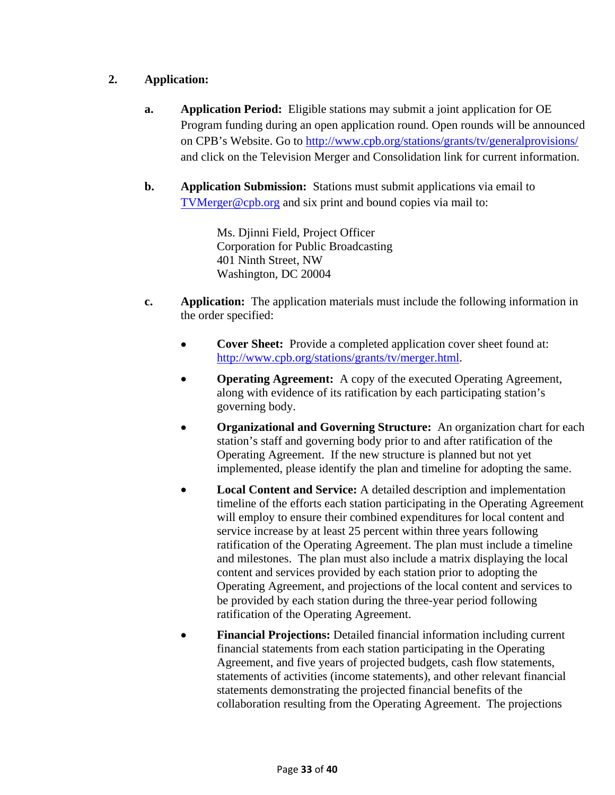## **2. Application:**

- **a. Application Period:** Eligible stations may submit a joint application for OE Program funding during an open application round. Open rounds will be announced on CPB's Website. Go to http://www.cpb.org/stations/grants/tv/generalprovisions/ and click on the Television Merger and Consolidation link for current information.
- **b. Application Submission:** Stations must submit applications via email to TVMerger@cpb.org and six print and bound copies via mail to:

Ms. Djinni Field, Project Officer Corporation for Public Broadcasting 401 Ninth Street, NW Washington, DC 20004

- **c. Application:** The application materials must include the following information in the order specified:
	- **Cover Sheet:** Provide a completed application cover sheet found at: http://www.cpb.org/stations/grants/tv/merger.html.
	- **Operating Agreement:** A copy of the executed Operating Agreement, along with evidence of its ratification by each participating station's governing body.
	- **Organizational and Governing Structure:** An organization chart for each station's staff and governing body prior to and after ratification of the Operating Agreement. If the new structure is planned but not yet implemented, please identify the plan and timeline for adopting the same.
	- **Local Content and Service:** A detailed description and implementation timeline of the efforts each station participating in the Operating Agreement will employ to ensure their combined expenditures for local content and service increase by at least 25 percent within three years following ratification of the Operating Agreement. The plan must include a timeline and milestones. The plan must also include a matrix displaying the local content and services provided by each station prior to adopting the Operating Agreement, and projections of the local content and services to be provided by each station during the three-year period following ratification of the Operating Agreement.
	- **Financial Projections:** Detailed financial information including current financial statements from each station participating in the Operating Agreement, and five years of projected budgets, cash flow statements, statements of activities (income statements), and other relevant financial statements demonstrating the projected financial benefits of the collaboration resulting from the Operating Agreement. The projections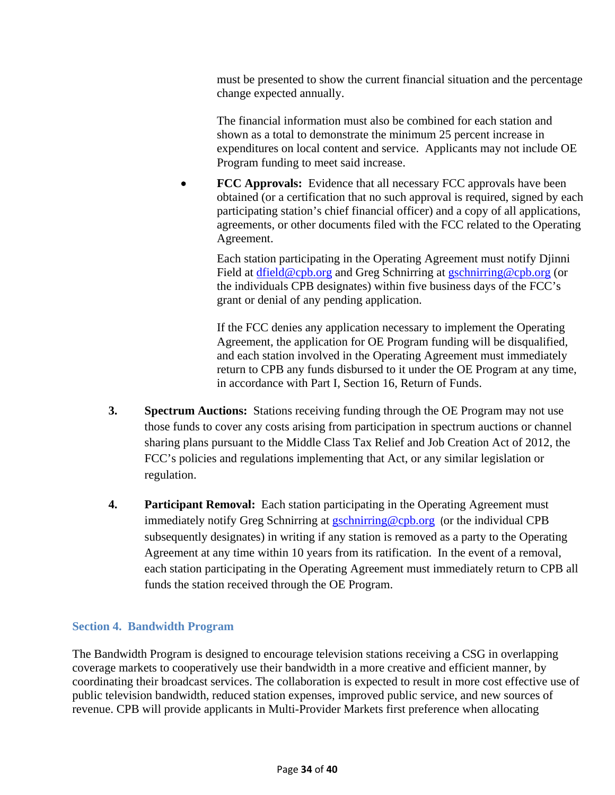must be presented to show the current financial situation and the percentage change expected annually.

The financial information must also be combined for each station and shown as a total to demonstrate the minimum 25 percent increase in expenditures on local content and service. Applicants may not include OE Program funding to meet said increase.

• **FCC Approvals:** Evidence that all necessary FCC approvals have been obtained (or a certification that no such approval is required, signed by each participating station's chief financial officer) and a copy of all applications, agreements, or other documents filed with the FCC related to the Operating Agreement.

Each station participating in the Operating Agreement must notify Djinni Field at dfield@cpb.org and Greg Schnirring at gschnirring@cpb.org (or the individuals CPB designates) within five business days of the FCC's grant or denial of any pending application.

If the FCC denies any application necessary to implement the Operating Agreement, the application for OE Program funding will be disqualified, and each station involved in the Operating Agreement must immediately return to CPB any funds disbursed to it under the OE Program at any time, in accordance with Part I, Section 16, Return of Funds.

- **3. Spectrum Auctions:** Stations receiving funding through the OE Program may not use those funds to cover any costs arising from participation in spectrum auctions or channel sharing plans pursuant to the Middle Class Tax Relief and Job Creation Act of 2012, the FCC's policies and regulations implementing that Act, or any similar legislation or regulation.
- **4. Participant Removal:** Each station participating in the Operating Agreement must immediately notify Greg Schnirring at gschnirring@cpb.org (or the individual CPB subsequently designates) in writing if any station is removed as a party to the Operating Agreement at any time within 10 years from its ratification. In the event of a removal, each station participating in the Operating Agreement must immediately return to CPB all funds the station received through the OE Program.

#### **Section 4. Bandwidth Program**

The Bandwidth Program is designed to encourage television stations receiving a CSG in overlapping coverage markets to cooperatively use their bandwidth in a more creative and efficient manner, by coordinating their broadcast services. The collaboration is expected to result in more cost effective use of public television bandwidth, reduced station expenses, improved public service, and new sources of revenue. CPB will provide applicants in Multi-Provider Markets first preference when allocating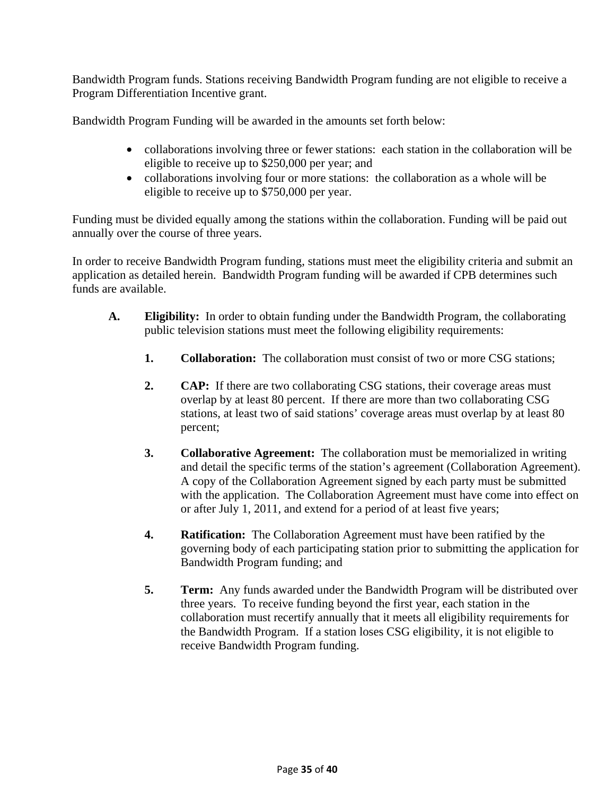Bandwidth Program funds. Stations receiving Bandwidth Program funding are not eligible to receive a Program Differentiation Incentive grant.

Bandwidth Program Funding will be awarded in the amounts set forth below:

- collaborations involving three or fewer stations: each station in the collaboration will be eligible to receive up to \$250,000 per year; and
- collaborations involving four or more stations: the collaboration as a whole will be eligible to receive up to \$750,000 per year.

Funding must be divided equally among the stations within the collaboration. Funding will be paid out annually over the course of three years.

In order to receive Bandwidth Program funding, stations must meet the eligibility criteria and submit an application as detailed herein. Bandwidth Program funding will be awarded if CPB determines such funds are available.

- **A. Eligibility:** In order to obtain funding under the Bandwidth Program, the collaborating public television stations must meet the following eligibility requirements:
	- **1. Collaboration:** The collaboration must consist of two or more CSG stations;
	- **2. CAP:** If there are two collaborating CSG stations, their coverage areas must overlap by at least 80 percent. If there are more than two collaborating CSG stations, at least two of said stations' coverage areas must overlap by at least 80 percent;
	- **3. Collaborative Agreement:** The collaboration must be memorialized in writing and detail the specific terms of the station's agreement (Collaboration Agreement). A copy of the Collaboration Agreement signed by each party must be submitted with the application. The Collaboration Agreement must have come into effect on or after July 1, 2011, and extend for a period of at least five years;
	- **4. Ratification:** The Collaboration Agreement must have been ratified by the governing body of each participating station prior to submitting the application for Bandwidth Program funding; and
	- **5. Term:** Any funds awarded under the Bandwidth Program will be distributed over three years. To receive funding beyond the first year, each station in the collaboration must recertify annually that it meets all eligibility requirements for the Bandwidth Program. If a station loses CSG eligibility, it is not eligible to receive Bandwidth Program funding.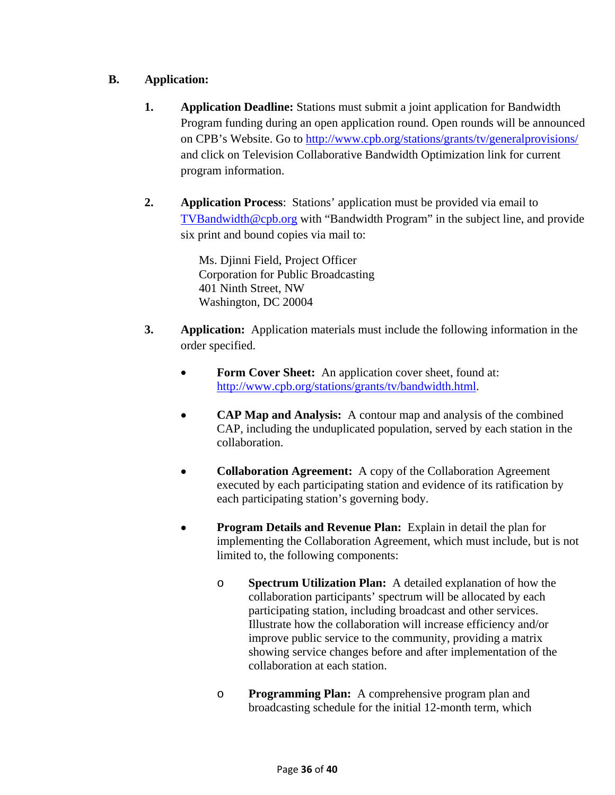## **B. Application:**

- **1. Application Deadline:** Stations must submit a joint application for Bandwidth Program funding during an open application round. Open rounds will be announced on CPB's Website. Go to http://www.cpb.org/stations/grants/tv/generalprovisions/ and click on Television Collaborative Bandwidth Optimization link for current program information.
- **2. Application Process**: Stations' application must be provided via email to TVBandwidth@cpb.org with "Bandwidth Program" in the subject line, and provide six print and bound copies via mail to:

Ms. Djinni Field, Project Officer Corporation for Public Broadcasting 401 Ninth Street, NW Washington, DC 20004

- **3. Application:** Application materials must include the following information in the order specified.
	- **Form Cover Sheet:** An application cover sheet, found at: http://www.cpb.org/stations/grants/tv/bandwidth.html.
	- **CAP Map and Analysis:** A contour map and analysis of the combined CAP, including the unduplicated population, served by each station in the collaboration.
	- **Collaboration Agreement:** A copy of the Collaboration Agreement executed by each participating station and evidence of its ratification by each participating station's governing body.
	- **Program Details and Revenue Plan:** Explain in detail the plan for implementing the Collaboration Agreement, which must include, but is not limited to, the following components:
		- o **Spectrum Utilization Plan:** A detailed explanation of how the collaboration participants' spectrum will be allocated by each participating station, including broadcast and other services. Illustrate how the collaboration will increase efficiency and/or improve public service to the community, providing a matrix showing service changes before and after implementation of the collaboration at each station.
		- o **Programming Plan:** A comprehensive program plan and broadcasting schedule for the initial 12-month term, which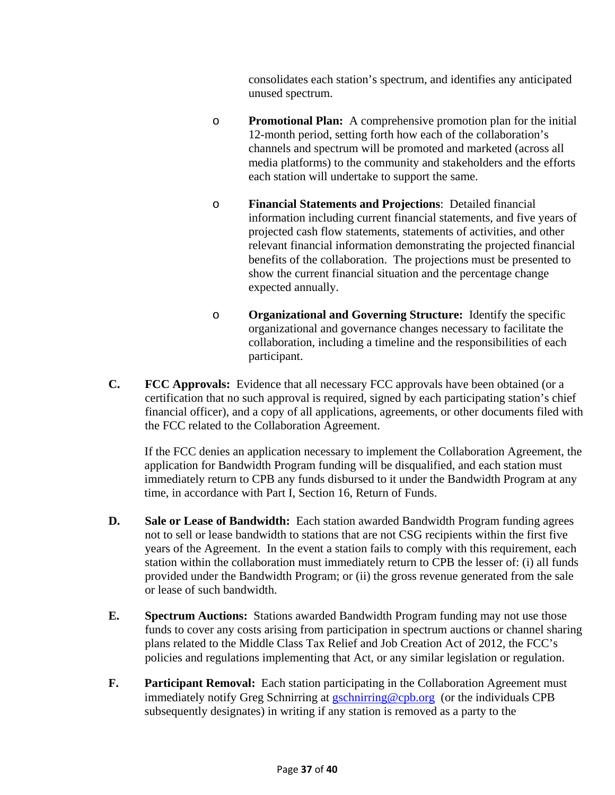consolidates each station's spectrum, and identifies any anticipated unused spectrum.

- o **Promotional Plan:** A comprehensive promotion plan for the initial 12-month period, setting forth how each of the collaboration's channels and spectrum will be promoted and marketed (across all media platforms) to the community and stakeholders and the efforts each station will undertake to support the same.
- o **Financial Statements and Projections**: Detailed financial information including current financial statements, and five years of projected cash flow statements, statements of activities, and other relevant financial information demonstrating the projected financial benefits of the collaboration. The projections must be presented to show the current financial situation and the percentage change expected annually.
- o **Organizational and Governing Structure:** Identify the specific organizational and governance changes necessary to facilitate the collaboration, including a timeline and the responsibilities of each participant.
- **C. FCC Approvals:** Evidence that all necessary FCC approvals have been obtained (or a certification that no such approval is required, signed by each participating station's chief financial officer), and a copy of all applications, agreements, or other documents filed with the FCC related to the Collaboration Agreement.

If the FCC denies an application necessary to implement the Collaboration Agreement, the application for Bandwidth Program funding will be disqualified, and each station must immediately return to CPB any funds disbursed to it under the Bandwidth Program at any time, in accordance with Part I, Section 16, Return of Funds.

- **D. Sale or Lease of Bandwidth:** Each station awarded Bandwidth Program funding agrees not to sell or lease bandwidth to stations that are not CSG recipients within the first five years of the Agreement. In the event a station fails to comply with this requirement, each station within the collaboration must immediately return to CPB the lesser of: (i) all funds provided under the Bandwidth Program; or (ii) the gross revenue generated from the sale or lease of such bandwidth.
- **E. Spectrum Auctions:** Stations awarded Bandwidth Program funding may not use those funds to cover any costs arising from participation in spectrum auctions or channel sharing plans related to the Middle Class Tax Relief and Job Creation Act of 2012, the FCC's policies and regulations implementing that Act, or any similar legislation or regulation.
- **F. Participant Removal:** Each station participating in the Collaboration Agreement must immediately notify Greg Schnirring at gschnirring@cpb.org (or the individuals CPB subsequently designates) in writing if any station is removed as a party to the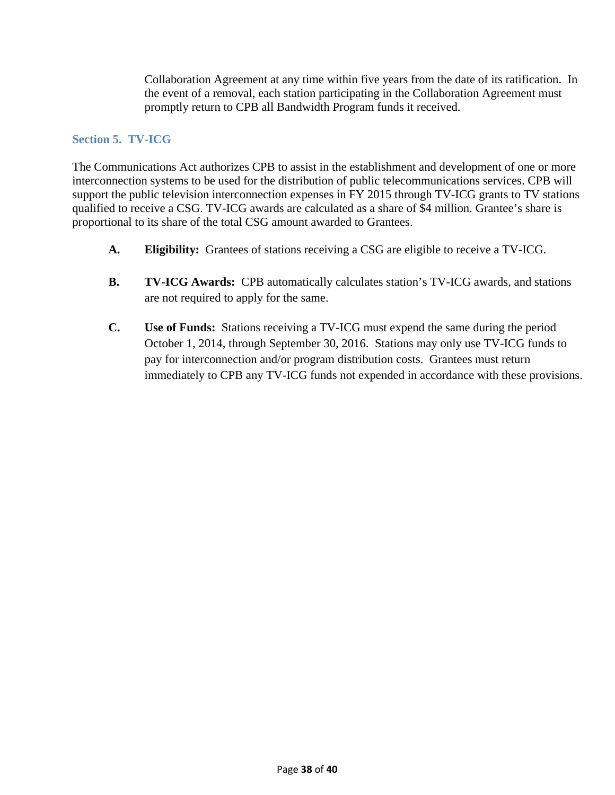Collaboration Agreement at any time within five years from the date of its ratification. In the event of a removal, each station participating in the Collaboration Agreement must promptly return to CPB all Bandwidth Program funds it received.

#### **Section 5. TV-ICG**

The Communications Act authorizes CPB to assist in the establishment and development of one or more interconnection systems to be used for the distribution of public telecommunications services. CPB will support the public television interconnection expenses in FY 2015 through TV-ICG grants to TV stations qualified to receive a CSG. TV-ICG awards are calculated as a share of \$4 million. Grantee's share is proportional to its share of the total CSG amount awarded to Grantees.

- **A. Eligibility:** Grantees of stations receiving a CSG are eligible to receive a TV-ICG.
- **B. TV-ICG Awards:** CPB automatically calculates station's TV-ICG awards, and stations are not required to apply for the same.
- **C. Use of Funds:** Stations receiving a TV-ICG must expend the same during the period October 1, 2014, through September 30, 2016. Stations may only use TV-ICG funds to pay for interconnection and/or program distribution costs. Grantees must return immediately to CPB any TV-ICG funds not expended in accordance with these provisions.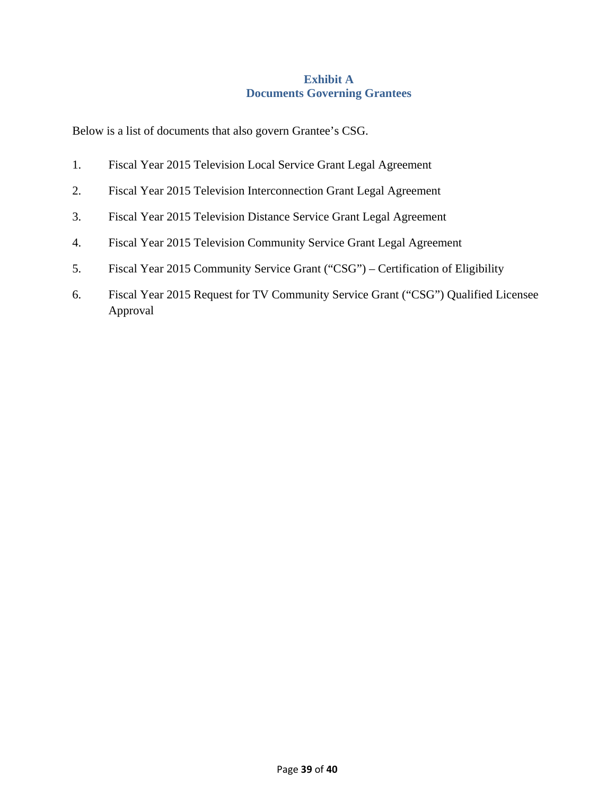### **Exhibit A Documents Governing Grantees**

Below is a list of documents that also govern Grantee's CSG.

- 1. Fiscal Year 2015 Television Local Service Grant Legal Agreement
- 2. Fiscal Year 2015 Television Interconnection Grant Legal Agreement
- 3. Fiscal Year 2015 Television Distance Service Grant Legal Agreement
- 4. Fiscal Year 2015 Television Community Service Grant Legal Agreement
- 5. Fiscal Year 2015 Community Service Grant ("CSG") Certification of Eligibility
- 6. Fiscal Year 2015 Request for TV Community Service Grant ("CSG") Qualified Licensee Approval